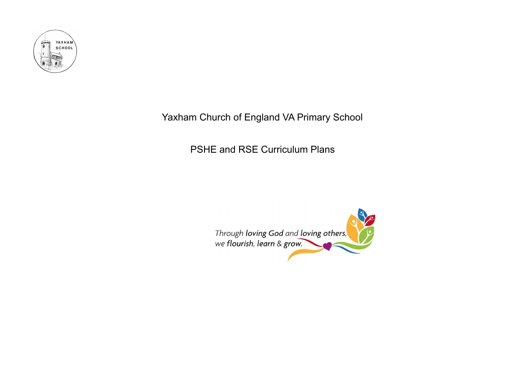

## Yaxham Church of England VA Primary School

PSHE and RSE Curriculum Plans

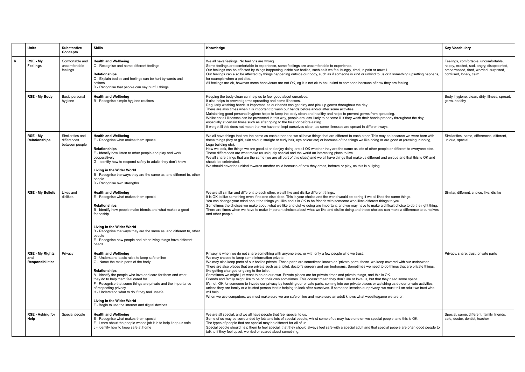|   | <b>Units</b>                                             | <b>Substantive</b><br>Concepts                    | <b>Skills</b>                                                                                                                                                                                                                                                                                                                                                                                                                                                            | Knowledge                                                                                                                                                                                                                                                                                                                                                                                                                                                                                                                                                                                                                                                                                                                                                                                                                                                                                                                                                                                                                                                                                                                                                                                                                                    | <b>Key Vocabulary</b>                                                                                                                                   |
|---|----------------------------------------------------------|---------------------------------------------------|--------------------------------------------------------------------------------------------------------------------------------------------------------------------------------------------------------------------------------------------------------------------------------------------------------------------------------------------------------------------------------------------------------------------------------------------------------------------------|----------------------------------------------------------------------------------------------------------------------------------------------------------------------------------------------------------------------------------------------------------------------------------------------------------------------------------------------------------------------------------------------------------------------------------------------------------------------------------------------------------------------------------------------------------------------------------------------------------------------------------------------------------------------------------------------------------------------------------------------------------------------------------------------------------------------------------------------------------------------------------------------------------------------------------------------------------------------------------------------------------------------------------------------------------------------------------------------------------------------------------------------------------------------------------------------------------------------------------------------|---------------------------------------------------------------------------------------------------------------------------------------------------------|
| R | RSE - My<br><b>Feelings</b>                              | Comfortable and<br>uncomfortable<br>feelings      | <b>Health and Wellbeing</b><br>C - Recognise and name different feelings<br><b>Relationships</b><br>C - Explain bodies and feelings can be hurt by words and<br>actions<br>D - Recognise that people can say hurtful things                                                                                                                                                                                                                                              | We all have feelings. No feelings are wrong<br>Some feelings are comfortable to experience, some feelings are uncomfortable to experience.<br>Our feelings can be affected by things happening inside our bodies, such as if we feel hungry, tired, in pain or unwell.<br>Our feelings can also be affected by things happening outside our body, such as if someone is kind or unkind to us or if something upsetting happens<br>for example when a pet dies.<br>All feelings are ok, however some behaviours are not OK, eg it is not ok to be unkind to someone because of how they are feeling.                                                                                                                                                                                                                                                                                                                                                                                                                                                                                                                                                                                                                                          | Feelings, comfortable, uncomfortable,<br>happy, excited, sad, angry, disappointed,<br>embarrassed, tired, worried, surprised,<br>confused, lonely, calm |
|   | <b>RSE - My Body</b>                                     | Basic personal<br>hygiene                         | <b>Health and Wellbeing</b><br>B - Recognise simple hygiene routines                                                                                                                                                                                                                                                                                                                                                                                                     | Keeping the body clean can help us to feel good about ourselves.<br>It also helps to prevent germs spreading and some illnesses.<br>Regularly washing hands is important, as our hands can get dirty and pick up germs throughout the day.<br>There are also times when it is important to wash our hands before and/or after some activities.<br>Maintaining good personal hygiene helps to keep the body clean and healthy and helps to prevent germs from spreading.<br>Whilst not all illnesses can be prevented in this way, people are less likely to become ill if they wash their hands properly throughout the day,<br>especially at certain times such as after going to the toilet or before eating.<br>If we get ill this does not mean that we have not kept ourselves clean, as some illnesses are spread in different ways.                                                                                                                                                                                                                                                                                                                                                                                                   | Body, hygiene, clean, dirty, illness, spread,<br>germ, healthy                                                                                          |
|   | RSE - My<br>Relationships                                | Similarities and<br>differences<br>between people | <b>Health and Wellbeing</b><br>E - Recognise what makes them special<br>Relationships<br>E - Identify how listen to other people and play and work<br>cooperatively<br>G - Identify how to respond safely to adults they don't know<br>Living in the Wider World<br>B - Recognise the ways they are the same as, and different to, other<br>people<br>D - Recognise own strengths                                                                                        | We all have things that are the same as each other and we all have things that are different to each other. This may be because we were born with<br>these things (boy or girl, skin colour, straight or curly hair, eye colour etc) or because of the things we like doing or are good at (drawing, running,<br>Lego building etc).<br>How we look, the things we are good at and enjoy doing are all OK whether they are the same as lots of other people or different to everyone else.<br>These differences are what make us uniquely special and the world an interesting place to live.<br>We all share things that are the same (we are all part of this class) and we all have things that make us different and unique and that this is OK and<br>should be celebrated.<br>We should never be unkind towards another child because of how they dress, behave or play, as this is bullying.                                                                                                                                                                                                                                                                                                                                          | Similarities, same, differences, different,<br>unique, special                                                                                          |
|   | <b>RSE - My Beliefs</b>                                  | Likes and<br>dislikes                             | <b>Health and Wellbeing</b><br>E - Recognise what makes them special<br><b>Relationships</b><br>B - Identify how people make friends and what makes a good<br>friendship<br>Living in the Wider World<br>B - Recognise the ways they are the same as, and different to, other<br>people<br>E - Recognise how people and other living things have different<br>needs                                                                                                      | We are all similar and different to each other, we all like and dislike different things.<br>It is OK to like something even if no one else does. This is your choice and the world would be boring if we all liked the same things.<br>You can change your mind about the things you like and it is OK to be friends with someone who likes different things to you.<br>Sometimes the choices we make about what we like and dislike doing are important, and we may have to make a difficult choice to do the right thing.<br>There are times when we have to make important choices about what we like and dislike doing and these choices can make a difference to ourselves<br>and other people.                                                                                                                                                                                                                                                                                                                                                                                                                                                                                                                                        | Similar, different, choice, like, dislike                                                                                                               |
|   | <b>RSE - My Rights</b><br>and<br><b>Responsibilities</b> | Privacy                                           | <b>Health and Wellbeing</b><br>D - Understand basic rules to keep safe online<br>G - Name the main parts of the body<br>Relationships<br>A - Identify the people who love and care for them and what<br>they do to help them feel cared for<br>F - Recognise that some things are private and the importance<br>of respecting privacy<br>H - Understand what to do if they feel unsafe<br>Living in the Wider World<br>F - Begin to use the internet and digital devices | Privacy is when we do not share something with anyone else, or with only a few people who we trust.<br>We may choose to keep some information private.<br>We may also keep parts of our bodies private. These parts are sometimes known as 'private parts; these we keep covered with our underwear.<br>There are also places that are private such as a toilet, doctor's surgery and our bedrooms. Sometimes we need to do things that are private things,<br>like getting changed or going to the toilet.<br>Sometimes we might just want to be on our own. Private places are for private times and private things, and this is OK.<br>Friends and family might like to be on their own sometimes. This doesn't mean they don't like or love us, but that they need some space.<br>It's not OK for someone to invade our privacy by touching our private parts, coming into our private places or watching us do our private activities,<br>unless they are family or a trusted person that is helping to look after ourselves. If someone invades our privacy, we must tell an adult we trust who<br>will help.<br>When we use computers, we must make sure we are safe online and make sure an adult knows what website/game we are on. | Privacy, share, trust, private parts                                                                                                                    |
|   | <b>RSE - Asking for</b><br>Help                          | Special people                                    | <b>Health and Wellbeing</b><br>E - Recognise what makes them special<br>F - Learn about the people whose job it is to help keep us safe<br>J - Identify how to keep safe at home                                                                                                                                                                                                                                                                                         | We are all special, and we all have people that feel special to us.<br>Some of us may be surrounded by lots and lots of special people, whilst some of us may have one or two special people, and this is OK.<br>The types of people that are special may be different for all of us.<br>Special people should help them to feel special, that they should always feel safe with a special adult and that special people are often good people to<br>talk to if they feel upset, worried or scared about something.                                                                                                                                                                                                                                                                                                                                                                                                                                                                                                                                                                                                                                                                                                                          | Special, same, different, family, friends,<br>safe, doctor, dentist, teacher                                                                            |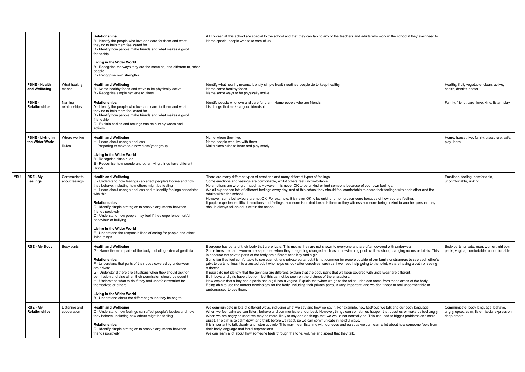|                 |                                       |                               | <b>Relationships</b><br>A - Identify the people who love and care for them and what<br>they do to help them feel cared for<br>B - Identify how people make friends and what makes a good<br>friendship<br>Living in the Wider World<br>B - Recognise the ways they are the same as, and different to, other<br>people<br>D - Recognise own strengths                                                                                                                                                                                                               | All children at this school are special to the school and that they can talk to any of the teachers and adults who work in the school if they ever need to.<br>Name special people who take care of us.                                                                                                                                                                                                                                                                                                                                                                                                                                                                                                                                                                                                                                                                                                                                                                                                                                                                                                                                                                                                                                                                                         |                                                                                                      |
|-----------------|---------------------------------------|-------------------------------|--------------------------------------------------------------------------------------------------------------------------------------------------------------------------------------------------------------------------------------------------------------------------------------------------------------------------------------------------------------------------------------------------------------------------------------------------------------------------------------------------------------------------------------------------------------------|-------------------------------------------------------------------------------------------------------------------------------------------------------------------------------------------------------------------------------------------------------------------------------------------------------------------------------------------------------------------------------------------------------------------------------------------------------------------------------------------------------------------------------------------------------------------------------------------------------------------------------------------------------------------------------------------------------------------------------------------------------------------------------------------------------------------------------------------------------------------------------------------------------------------------------------------------------------------------------------------------------------------------------------------------------------------------------------------------------------------------------------------------------------------------------------------------------------------------------------------------------------------------------------------------|------------------------------------------------------------------------------------------------------|
|                 | <b>PSHE - Health</b><br>and Wellbeing | What healthy<br>means         | <b>Health and Wellbeing</b><br>A - Name healthy foods and ways to be physically active<br>B - Recognise simple hygiene routines                                                                                                                                                                                                                                                                                                                                                                                                                                    | Identify what healthy means. Identify simple health routines people do to keep healthy.<br>Name some healthy foods.<br>Name some ways to be physically active.                                                                                                                                                                                                                                                                                                                                                                                                                                                                                                                                                                                                                                                                                                                                                                                                                                                                                                                                                                                                                                                                                                                                  | Healthy, fruit, vegetable, clean, active,<br>health, dentist, doctor                                 |
|                 | PSHE-<br><b>Relationships</b>         | Naming<br>relationships       | <b>Relationships</b><br>A - Identify the people who love and care for them and what<br>they do to help them feel cared for<br>B - Identify how people make friends and what makes a good<br>friendship<br>C - Explain bodies and feelings can be hurt by words and<br>actions                                                                                                                                                                                                                                                                                      | Identify people who love and care for them. Name people who are friends.<br>List things that make a good friendship.                                                                                                                                                                                                                                                                                                                                                                                                                                                                                                                                                                                                                                                                                                                                                                                                                                                                                                                                                                                                                                                                                                                                                                            | Family, friend, care, love, kind, listen, play                                                       |
|                 | PSHE - Living in<br>the Wider World   | Where we live<br>Rules        | <b>Health and Wellbeing</b><br>H - Learn about change and loss<br>I - Preparing to move to a new class/year group<br>Living in the Wider World<br>A - Recognise class rules<br>E - Recognise how people and other living things have different<br>needs                                                                                                                                                                                                                                                                                                            | Name where they live.<br>Name people who live with them.<br>Make class rules to learn and play safely.                                                                                                                                                                                                                                                                                                                                                                                                                                                                                                                                                                                                                                                                                                                                                                                                                                                                                                                                                                                                                                                                                                                                                                                          | Home, house, live, family, class, rule, safe,<br>play, learn                                         |
| YR <sub>1</sub> | RSE - My<br><b>Feelings</b>           | Communicate<br>about feelings | <b>Health and Wellbeing</b><br>C - Understand how feelings can affect people's bodies and how<br>they behave, including how others might be feeling<br>H - Learn about change and loss and to identify feelings associated<br>with this<br><b>Relationships</b><br>C - Identify simple strategies to resolve arguments between<br>friends positively<br>D - Understand how people may feel if they experience hurtful<br>behaviour or bullying<br>Living in the Wider World<br>E - Understand the responsibilities of caring for people and other<br>living things | There are many different types of emotions and many different types of feelings.<br>Some emotions and feelings are comfortable, whilst others feel uncomfortable.<br>No emotions are wrong or naughty. However, it is never OK to be unkind or hurt someone because of your own feelings.<br>We all experience lots of different feelings every day, and at this school they should feel comfortable to share their feelings with each other and the<br>adults within the school.<br>However, some behaviours are not OK. For example, it is never OK to be unkind, or to hurt someone because of how you are feeling.<br>If pupils experience difficult emotions and feelings, someone is unkind towards them or they witness someone being unkind to another person, they<br>should always tell an adult within the school.                                                                                                                                                                                                                                                                                                                                                                                                                                                                   | Emotions, feeling, comfortable,<br>uncomfortable, unkind                                             |
|                 | <b>RSE - My Body</b>                  | Body parts                    | <b>Health and Wellbeing</b><br>G - Name the main parts of the body including external genitalia<br>Relationships<br>F - Understand that parts of their body covered by underwear<br>are private<br>G - Understand there are situations when they should ask for<br>permission and also when their permission should be sought<br>H - Understand what to do if they feel unsafe or worried for<br>themselves or others<br>Living in the Wider World<br>B - Understand about the different groups they belong to                                                     | Everyone has parts of their body that are private. This means they are not shown to everyone and are often covered with underwear.<br>Sometimes men and women are separated when they are getting changed such as at a swimming pool, clothes shop, changing rooms or toilets. This<br>is because the private parts of the body are different for a boy and a girl.<br>Some families feel comfortable to see each other's private parts, but it is not common for people outside of our family or strangers to see each other's<br>private parts, unless it is a trusted adult who helps us look after ourselves, such as if we need help going to the toilet, we are having a bath or seeing<br>a doctor.<br>If pupils do not identify that the genitalia are different, explain that the body parts that we keep covered with underwear are different.<br>Both boys and girls have a bottom, but this cannot be seen on the pictures of the characters.<br>Now explain that a boy has a penis and a girl has a vagina. Explain that when we go to the toilet, urine can come from these areas of the body<br>Being able to use the correct terminology for the body, including their private parts, is very important, and we don't need to feel uncomfortable or<br>embarrassed to use them. | Body parts, private, men, women, girl boy.<br>penis, vagina, comfortable, uncomfortable              |
|                 | RSE - My<br><b>Relationships</b>      | Listening and<br>cooperation  | <b>Health and Wellbeing</b><br>C - Understand how feelings can affect people's bodies and how<br>they behave, including how others might be feeling<br><b>Relationships</b><br>C - Identify simple strategies to resolve arguments between<br>friends positively                                                                                                                                                                                                                                                                                                   | We communicate in lots of different ways, including what we say and how we say it. For example, how fast/loud we talk and our body language.<br>When we feel calm we can listen, behave and communicate at our best. However, things can sometimes happen that upset us or make us feel angry.<br>When we are angry or upset we may be more likely to say and do things that we would not normally do. This can lead to bigger problems and more<br>upset. The aim is to calm down and think before we react, so we can communicate in helpful ways.<br>It is important to talk clearly and listen actively. This may mean listening with our eyes and ears, as we can learn a lot about how someone feels from<br>their body language and facial expressions.<br>We can learn a lot about how someone feels through the tone, volume and speed that they talk.                                                                                                                                                                                                                                                                                                                                                                                                                                 | Communicate, body language, behave,<br>angry, upset, calm, listen, facial expression,<br>deep breath |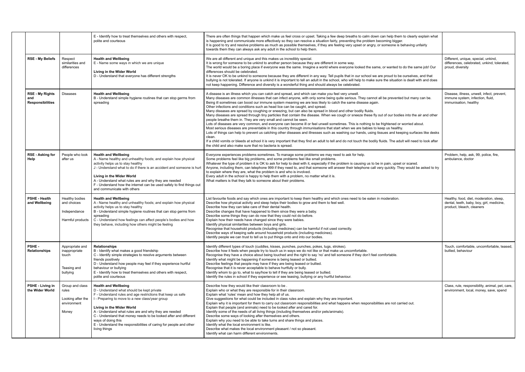|                                                          |                                                                       | E - Identify how to treat themselves and others with respect,<br>polite and courteous                                                                                                                                                                                                                                                                                                                                                                              | There are often things that happen which make us feel cross or upset. Taking a few deep breaths to calm down can help them to clearly explain what<br>is happening and communicate more effectively so they can resolve a situation fairly, preventing the problem becoming bigger.<br>It is good to try and resolve problems as much as possible themselves, if they are feeling very upset or angry, or someone is behaving unfairly<br>towards them they can always ask any adult in the school to help them.                                                                                                                                                                                                                                                                                                                                                                                                                                                                                                                                                                                                                                                                                                                                                                                                                                                                                                                                                          |                                                                                                                   |
|----------------------------------------------------------|-----------------------------------------------------------------------|--------------------------------------------------------------------------------------------------------------------------------------------------------------------------------------------------------------------------------------------------------------------------------------------------------------------------------------------------------------------------------------------------------------------------------------------------------------------|---------------------------------------------------------------------------------------------------------------------------------------------------------------------------------------------------------------------------------------------------------------------------------------------------------------------------------------------------------------------------------------------------------------------------------------------------------------------------------------------------------------------------------------------------------------------------------------------------------------------------------------------------------------------------------------------------------------------------------------------------------------------------------------------------------------------------------------------------------------------------------------------------------------------------------------------------------------------------------------------------------------------------------------------------------------------------------------------------------------------------------------------------------------------------------------------------------------------------------------------------------------------------------------------------------------------------------------------------------------------------------------------------------------------------------------------------------------------------|-------------------------------------------------------------------------------------------------------------------|
| <b>RSE - My Beliefs</b>                                  | Respect<br>similarities and<br>differences                            | <b>Health and Wellbeing</b><br>E - Name some ways in which we are unique<br>Living in the Wider World<br>D - Understand that everyone has different strengths                                                                                                                                                                                                                                                                                                      | We are all different and unique and this makes us incredibly special.<br>It is wrong for someone to be unkind to another person because they are different in some way.<br>The world would be a boring place if everyone was the same. Imagine a world where everyone looked the same, or wanted to do the same job! Our<br>differences should be celebrated.<br>It is never OK to be unkind to someone because they are different in any way. Tell pupils that in our school we are proud to be ourselves, and that<br>bullying is not tolerated. If anyone is unkind it is important to tell an adult in the school, who will help to make sure the situation is dealt with and does<br>not keep happening. Difference and diversity is a wonderful thing and should always be celebrated.                                                                                                                                                                                                                                                                                                                                                                                                                                                                                                                                                                                                                                                                              | Different, unique, special, unkind,<br>differences, celebrated, unkind, tolerated,<br>proud, diversity            |
| <b>RSE - My Rights</b><br>and<br><b>Responsibilities</b> | <b>Diseases</b>                                                       | <b>Health and Wellbeing</b><br>B - Understand simple hygiene routines that can stop germs from<br>spreading                                                                                                                                                                                                                                                                                                                                                        | A disease is an illness which you can catch and spread, and which can make you feel very unwell.<br>Many diseases are common illnesses that can infect anyone, with only some being quite serious. They cannot all be prevented but many can be.<br>Being ill sometimes can boost our immune system meaning we are less likely to catch the same disease again.<br>Other infections and conditions such as head lice can be caught, and spread.<br>Many diseases are spread by coughing or sneezing, but can also be spread in blood and other bodily fluids.<br>Many diseases are spread through tiny particles that contain the disease. When we cough or sneeze these fly out of our bodies into the air and other<br>people breathe them in. They are very small and cannot be seen.<br>Lots of diseases are very common, and everyone can become ill or feel unwell sometimes. This is nothing to be frightened or worried about.<br>Most serious diseases are preventable in this country through immunisations that start when we are babies to keep us healthy.<br>Lots of things can help to prevent us catching other diseases and illnesses such as washing our hands, using tissues and keeping surfaces like desks<br>clean.<br>If a child vomits or bleeds at school it is very important that they find an adult to tell and do not touch the bodily fluids. The adult will need to look after<br>the child and also make sure that no bacteria is spread. | Disease, illness, unwell, infect, prevent,<br>immune system, infection, fluid,<br>immunisation, healthy           |
| <b>RSE - Asking for</b><br>Help                          | People who look<br>after us                                           | <b>Health and Wellbeing</b><br>A - Name healthy and unhealthy foods; and explain how physical<br>activity helps us to stay healthy<br>J - Understand what to do if there is an accident and someone is hurt<br>Living in the Wider World<br>A - Understand what rules are and why they are needed<br>F - Understand how the internet can be used safely to find things out<br>and communicate with others                                                          | Everyone experiences problems sometimes. To manage some problems we may need to ask for help.<br>Some problems feel like big problems, and some problems feel like small problems.<br>Whatever the type of problem it is OK to ask for help to deal with it, especially if the problem is causing us to be in pain, upset or scared.<br>Anyone, including them, can telephone 999 if they need to, and that someone will answer their telephone call very quickly. They would be asked to try<br>to explain where they are, what the problem is and who is involved.<br>Every adult in the school is happy to help them with a problem, no matter what it is.<br>What matters is that they talk to someone about their problems.                                                                                                                                                                                                                                                                                                                                                                                                                                                                                                                                                                                                                                                                                                                                          | Problem, help, ask, 99, police, fire,<br>ambulance, doctor                                                        |
| <b>PSHE - Health</b><br>and Wellbeing                    | Healthy bodies<br>and choices<br>Independance<br>Harmful products     | <b>Health and Wellbeing</b><br>A - Name healthy and unhealthy foods; and explain how physical<br>activity helps us to stay healthy<br>B - Understand simple hygiene routines that can stop germs from<br>spreading<br>C - Understand how feelings can affect people's bodies and how<br>they behave, including how others might be feeling                                                                                                                         | List favourite foods and say which ones are important to keep them healthy and which ones need to be eaten in moderation.<br>Describe how physical activity and sleep helps their bodies to grow and them to feel well.<br>Describe how they can take care of their dental health.<br>Describe changes that have happened to them since they were a baby.<br>Describe some things they can do now that they could not do before.<br>Explain how their needs have changed since they were babies.<br>Identify physical similarities between boys and girls.<br>Recognise that household products (including medicines) can be harmful if not used correctly.<br>Describe ways of keeping safe around household products (including medicines).<br>Identify people we can trust to tell us to put things onto and into our bodies.                                                                                                                                                                                                                                                                                                                                                                                                                                                                                                                                                                                                                                          | Healthy, food, diet, moderation, sleep,<br>dental, teeth, baby, boy, girl, medicine,<br>product, bleach, cleaners |
| <b>PSHE-</b><br>Relationships                            | Appropriate and<br>inappropriate<br>touch<br>Teasing and<br>bullying  | <b>Relationships</b><br>B - Identify what makes a good friendship<br>C - Identify simple strategies to resolve arguments between<br>friends positively<br>D - Understand how people may feel if they experience hurtful<br>behaviour or bullying<br>E - Identify how to treat themselves and others with respect,<br>polite and courteous                                                                                                                          | Identify different types of touch (cuddles, kisses, punches, punches, pokes, tugs, strokes).<br>Describe how it feels when people try to touch us in ways we do not like or that make us uncomfortable.<br>Recognise they have a choice about being touched and the right to say 'no' and tell someone if they don't feel comfortable.<br>Identify what might be happening if someone is being teased or bullied.<br>Describe feelings that people may have if they are being teased or bullied.<br>Recognise that it is never acceptable to behave hurtfully or bully.<br>Identify whom to go to, what to say/how to tell if they are being teased or bullied.<br>Identify the rules in school if they experience or see teasing, bullying or any hurtful behaviour.                                                                                                                                                                                                                                                                                                                                                                                                                                                                                                                                                                                                                                                                                                     | Touch, comfortable, uncomfortable, teased,<br>bullied, behaviour                                                  |
| <b>PSHE - Living in</b><br>the Wider World               | Group and class<br>rules<br>Looking after the<br>environment<br>Money | <b>Health and Wellbeing</b><br>D - Understand what should be kept private<br>F - Understand rules and age restrictions that keep us safe<br>I - Preparing to move to a new class/year group<br>Living in the Wider World<br>A - Understand what rules are and why they are needed<br>C - Understand that money needs to be looked after and different<br>ways of doing this<br>E - Understand the responsibilities of caring for people and other<br>living things | Describe how they would like their classroom to be.<br>Explain who or what they are responsible for in their classroom.<br>Explain what 'rules' mean and how they help all of us.<br>Give suggestions for what could be included in class rules and explain why they are important.<br>Explain why it is important for them to carry out classroom responsibilities and what happens when responsibilities are not carried out.<br>Explain that people (and animals) need to be looked after and cared for.<br>Identify some of the needs of all living things (including themselves and/or pets/animals).<br>Describe some ways of looking after themselves and others.<br>Explain why you need to be able to take turns and share things and places.<br>Identify what the local environment is like.<br>Describe what makes the local environment pleasant / not so pleasant.<br>Identify what can harm different environments.                                                                                                                                                                                                                                                                                                                                                                                                                                                                                                                                         | Class, rule, responsibility, animal, pet, care,<br>environment, local, money, save, spend                         |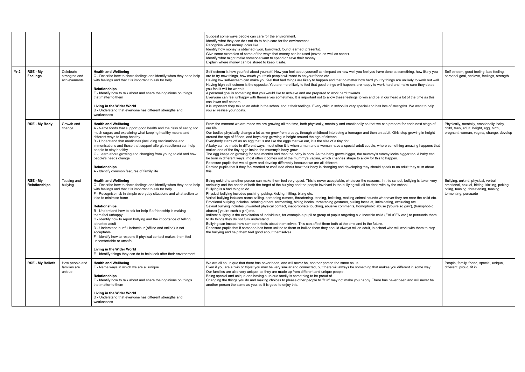|      |                             |                                            |                                                                                                                                                                                                                                                                                                                                                                                                                                                                                                                                                                                                                                                                                                                                                    | Suggest some ways people can care for the environment.<br>Identify what they can do / not do to help care for the environment<br>Recognise what money looks like.<br>Identify how money is obtained (won, borrowed, found, earned, presents).<br>Give some examples of some of the ways that money can be used (saved as well as spent).<br>Identify what might make someone want to spend or save their money.<br>Explain where money can be stored to keep it safe.                                                                                                                                                                                                                                                                                                                                                                                                                                                                                                                                                                                                                                                                                                                                                                                                                                                                                                                                                                                            |                                                                                                                                                       |
|------|-----------------------------|--------------------------------------------|----------------------------------------------------------------------------------------------------------------------------------------------------------------------------------------------------------------------------------------------------------------------------------------------------------------------------------------------------------------------------------------------------------------------------------------------------------------------------------------------------------------------------------------------------------------------------------------------------------------------------------------------------------------------------------------------------------------------------------------------------|------------------------------------------------------------------------------------------------------------------------------------------------------------------------------------------------------------------------------------------------------------------------------------------------------------------------------------------------------------------------------------------------------------------------------------------------------------------------------------------------------------------------------------------------------------------------------------------------------------------------------------------------------------------------------------------------------------------------------------------------------------------------------------------------------------------------------------------------------------------------------------------------------------------------------------------------------------------------------------------------------------------------------------------------------------------------------------------------------------------------------------------------------------------------------------------------------------------------------------------------------------------------------------------------------------------------------------------------------------------------------------------------------------------------------------------------------------------|-------------------------------------------------------------------------------------------------------------------------------------------------------|
| Yr 2 | RSE - Mv<br><b>Feelings</b> | Celebrate<br>strengths and<br>achievements | <b>Health and Wellbeing</b><br>C - Describe how to share feelings and identify when they need help<br>with feelings and that it is important to ask for help<br><b>Relationships</b><br>E - Identify how to talk about and share their opinions on things<br>that matter to them<br>Living in the Wider World<br>D - Understand that everyone has different strengths and<br>weaknesses                                                                                                                                                                                                                                                                                                                                                            | Self-esteem is how you feel about yourself. How you feel about yourself can impact on how well you feel you have done at something, how likely you<br>are to try new things, how much you think people will want to be your friend etc.<br>Having low self-esteem can make you feel that bad things are likely to happen and that no matter how hard you try things are unlikely to work out well.<br>Having high self-esteem is the opposite. You are more likely to feel that good things will happen, are happy to work hard and make sure they do as<br>you feel it will be worth it.<br>A personal goal is something that you would like to achieve and are prepared to work hard towards.<br>Everyone can feel unhappy with themselves sometimes. It is important not to allow these feelings to win and be in our head a lot of the time as this<br>can lower self-esteem.<br>It is important they talk to an adult in the school about their feelings. Every child in school is very special and has lots of strengths. We want to help<br>you all realise your goals.                                                                                                                                                                                                                                                                                                                                                                                   | Self esteem, good feeling, bad feeling,<br>personal goal, achieve, feelings, strength                                                                 |
|      | RSE - My Body               | Growth and<br>change                       | <b>Health and Wellbeing</b><br>A - Name foods that support good health and the risks of eating too<br>much sugar; and explaining what keeping healthy means and<br>different ways to keep healthy<br>B - Understand that medicines (including vaccinations and<br>immunisations and those that support allergic reactions) can help<br>people to stay healthy<br>G - Learn about growing and changing from young to old and how<br>people's needs change<br><b>Relationships</b><br>A - Identify common features of family life                                                                                                                                                                                                                    | From the moment we are made we are growing all the time, both physically, mentally and emotionally so that we can prepare for each next stage of<br>our life.<br>Our bodies physically change a lot as we grow from a baby, through childhood into being a teenager and then an adult. Girls stop growing in height<br>around the age of fifteen, and boys stop growing in height around the age of sixteen.<br>Everybody starts off as an egg that is not like the eggs that we eat, it is the size of a tiny dot!<br>A baby can be made in different ways, most often it is when a man and a woman have a special adult cuddle, where something amazing happens that<br>makes one of the tiny eggs inside the mummy's body grow.<br>The egg keeps on growing for nine months and then the baby is born. As the baby grows bigger, the mummy's tummy looks bigger too. A baby can<br>be born in different ways, most often it comes out of the mummy's vagina, which changes shape to allow for this to happen.<br>Reassure pupils that we all grow and develop differently because we are all different.<br>Remind pupils that if they feel worried or confused about how their body is changing and developing they should speak to an adult they trust about<br>this.                                                                                                                                                                                        | Physically, mentally, emotionally, baby,<br>child, teen, adult, height, egg, birth,<br>pregnant, woman, vagina, change, develop                       |
|      | RSE - My<br>Relationships   | Teasing and<br>bullying                    | <b>Health and Wellbeing</b><br>C - Describe how to share feelings and identify when they need help<br>with feelings and that it is important to ask for help<br>F - Recognise risk in simple everyday situations and what action to<br>take to minimise harm<br><b>Relationships</b><br>B - Understand how to ask for help if a friendship is making<br>them feel unhappy<br>C - Identify how to report bullying and the importance of telling<br>a trusted adult<br>D - Understand hurtful behaviour (offline and online) is not<br>acceptable<br>F - Identify how to respond if physical contact makes them feel<br>uncomfortable or unsafe<br>Living in the Wider World<br>E - Identify things they can do to help look after their environment | Being unkind to another person can make them feel very upset. This is never acceptable, whatever the reasons. In this school, bullying is taken very<br>seriously and the needs of both the target of the bullying and the people involved in the bullying will all be dealt with by the school.<br>Bullying is a bad thing to do.<br>Physical bullying includes pushing, poking, kicking, hitting, biting etc.<br>Verbal bullying includes name calling, spreading rumors, threatening, teasing, belittling, making animal sounds whenever they are near the child etc.<br>Emotional bullying includes isolating others, tormenting, hiding books, threatening gestures, pulling faces at, intimidating, excluding etc.<br>Sexual bullying includes unwanted physical contact, inappropriate touching, abusive comments, homophobic abuse ('you're so gay'), (transphobic<br>abuse) ('you're such a girl') etc.<br>Indirect bullying is the exploitation of individuals, for example a pupil or group of pupils targeting a vulnerable child (EAL/SEN etc.) to persuade them<br>to do things they do not fully understand.<br>Bullying can impact how someone feels about themselves. This can affect them both at the time and in the future.<br>Reassure pupils that if someone has been unkind to them or bullied them they should always tell an adult, in school who will work with them to stop<br>the bullying and help them feel good about themselves. | Bullying, unkind, physical, verbal,<br>emotional, sexual, hitting, kicking, poking,<br>biting, teasing, threatening, teasing,<br>tormenting, persuade |
|      | <b>RSE - My Beliefs</b>     | How people and<br>families are<br>unique   | <b>Health and Wellbeing</b><br>E - Name ways in which we are all unique<br>Relationships<br>E - Identify how to talk about and share their opinions on things<br>that matter to them<br>Living in the Wider World<br>D - Understand that everyone has different strengths and<br>weaknesses                                                                                                                                                                                                                                                                                                                                                                                                                                                        | We are all so unique that there has never been, and will never be, another person the same as us.<br>Even if you are a twin or triplet you may be very similar and connected, but there will always be something that makes you different in some way.<br>Our families are also very unique, as they are made up from different and unique people.<br>Being special and unique and having a unique family is something to be proud of.<br>Changing the things you do and making choices to please other people to 'fit in' may not make you happy. There has never been and will never be<br>another person the same as you, so it is good to enjoy this.                                                                                                                                                                                                                                                                                                                                                                                                                                                                                                                                                                                                                                                                                                                                                                                                        | People, family, friend, special, unique,<br>different, proud, fit in                                                                                  |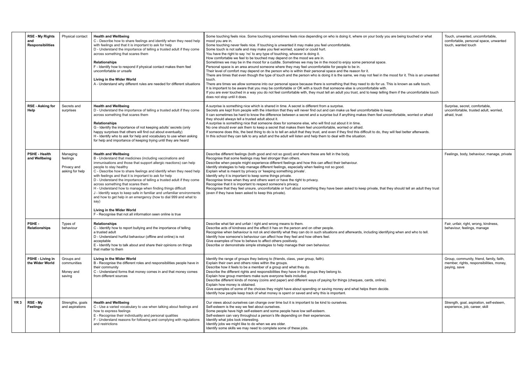|                 | <b>RSE - My Rights</b><br>and<br><b>Responsibilities</b> | Physical contact                                       | <b>Health and Wellbeing</b><br>C - Describe how to share feelings and identify when they need help<br>with feelings and that it is important to ask for help<br>D - Understand the importance of telling a trusted adult if they come<br>across something that scares them<br><b>Relationships</b><br>F - Identify how to respond if physical contact makes them feel<br>uncomfortable or unsafe<br>Living in the Wider World<br>A - Understand why different rules are needed for different situations                                                                                                                                                                                                                                               | Some touching feels nice. Some touching sometimes feels nice depending on who is doing it, where on your body you are being touched or what<br>mood you are in.<br>Some touching never feels nice. If touching is unwanted it may make you feel uncomfortable.<br>Some touch is not safe and may make you feel worried, scared or could hurt.<br>You have the right to say 'no' to any type of touching, whoever is doing it.<br>How comfortable we feel to be touched may depend on the mood we are in.<br>Sometimes we may be in the mood for a cuddle. Sometimes we may be in the mood to enjoy some personal space.<br>Personal space is an area around someone where they may feel uncomfortable for people to be in.<br>Their level of comfort may depend on the person who is within their personal space and the reason for it.<br>There are times that even though the type of touch and the person who is doing it is the same, we may not feel in the mood for it. This is an unwanted<br>touch.<br>There are times we allow someone into our personal space because there is something that they need to do for us. This is known as safe touch.<br>It is important to be aware that you may be comfortable or OK with a touch that someone else is uncomfortable with.<br>If you are ever touched in a way you do not feel comfortable with, they must tell an adult you trust, and to keep telling them if the uncomfortable touch<br>does not stop until it does. |
|-----------------|----------------------------------------------------------|--------------------------------------------------------|-------------------------------------------------------------------------------------------------------------------------------------------------------------------------------------------------------------------------------------------------------------------------------------------------------------------------------------------------------------------------------------------------------------------------------------------------------------------------------------------------------------------------------------------------------------------------------------------------------------------------------------------------------------------------------------------------------------------------------------------------------|----------------------------------------------------------------------------------------------------------------------------------------------------------------------------------------------------------------------------------------------------------------------------------------------------------------------------------------------------------------------------------------------------------------------------------------------------------------------------------------------------------------------------------------------------------------------------------------------------------------------------------------------------------------------------------------------------------------------------------------------------------------------------------------------------------------------------------------------------------------------------------------------------------------------------------------------------------------------------------------------------------------------------------------------------------------------------------------------------------------------------------------------------------------------------------------------------------------------------------------------------------------------------------------------------------------------------------------------------------------------------------------------------------------------------------------------------------------------------------|
|                 | <b>RSE - Asking for</b><br>Help                          | Secrets and<br>surprises                               | <b>Health and Wellbeing</b><br>D - Understand the importance of telling a trusted adult if they come<br>across something that scares them<br><b>Relationships</b><br>G - Identify the importance of not keeping adults' secrets (only<br>happy surprises that others will find out about eventually)<br>H - Identify who to ask for help and vocabulary to use when asking<br>for help and importance of keeping trying until they are heard                                                                                                                                                                                                                                                                                                          | A surprise is something nice which is shared in time. A secret is different from a surprise.<br>Secrets are kept from people with the intention that they will never find out and can make us feel uncomfortable to keep.<br>It can sometimes be hard to know the difference between a secret and a surprise but if anything makes them feel uncomfortable, worried or afraid<br>they should always tell a trusted adult about it.<br>A surprise is something nice that someone does for someone else, who will find out about it in time.<br>No one should ever ask them to keep a secret that makes them feel uncomfortable, worried or afraid.<br>If someone does this, the best thing to do is to tell an adult that they trust, and even if they find this difficult to do, they will feel better afterwards.<br>In this school they can talk to any adult and the adult will listen and help them to deal with the situation.                                                                                                                                                                                                                                                                                                                                                                                                                                                                                                                                              |
|                 | <b>PSHE - Health</b><br>and Wellbeing                    | Managing<br>feelings<br>Privacy and<br>asking for help | <b>Health and Wellbeing</b><br>B - Understand that medicines (including vaccinations and<br>immunisations and those that support allergic reactions) can help<br>people to stay healthy<br>C - Describe how to share feelings and identify when they need help<br>with feelings and that it is important to ask for help<br>D - Understand the importance of telling a trusted adult if they come<br>across something that scares them<br>H - Understand how to manage when finding things difficult<br>J - Identify ways to keep safe in familiar and unfamiliar environments<br>and how to get help in an emergency (how to dial 999 and what to<br>say)<br>Living in the Wider World<br>F - Recognise that not all information seen online is true | Describe different feelings (both good and not so good) and where these are felt in the body.<br>Recognise that some feelings may feel stronger than others.<br>Describe when people might experience different feelings and how this can affect their behaviour.<br>Identify strategies to help manage different feelings, especially when feeling not so good.<br>Explain what is meant by privacy or 'keeping something private'.<br>Identify why it is important to keep some things private.<br>Recognise times when they and others want or have the right to privacy.<br>Recognise that it is important to respect someone's privacy.<br>Recognise that they feel unsure, uncomfortable or hurt about something they have been asked to keep private, that they should tell an adult they trust<br>(even if they have been asked to keep this private).                                                                                                                                                                                                                                                                                                                                                                                                                                                                                                                                                                                                                   |
|                 | PSHE-<br>Relationships                                   | Types of<br>behaviour                                  | <b>Relationships</b><br>C - Identify how to report bullying and the importance of telling<br>a trusted adult<br>D - Understand hurtful behaviour (offline and online) is not<br>acceptable<br>E - Identify how to talk about and share their opinions on things<br>that matter to them                                                                                                                                                                                                                                                                                                                                                                                                                                                                | Describe what fair and unfair / right and wrong means to them.<br>Describe acts of kindness and the effect it has on the person and on other people.<br>Recognise when behaviour is not ok and identify what they can do in such situations and afterwards, including identifying when and who to tell.<br>Identify how someone's behaviour can affect how they feel and how others feel.<br>Give examples of how to behave to affect others positively.<br>Describe or demonstrate simple strategies to help manage their own behaviour.                                                                                                                                                                                                                                                                                                                                                                                                                                                                                                                                                                                                                                                                                                                                                                                                                                                                                                                                        |
|                 | PSHE - Living in<br>the Wider World                      | Groups and<br>communities<br>Money and<br>saving       | Living in the Wider World<br>B - Recognise the different roles and responsibilities people have in<br>their community<br>C - Understand forms that money comes in and that money comes<br>from different sources                                                                                                                                                                                                                                                                                                                                                                                                                                                                                                                                      | Identify the range of groups they belong to (friends, class, year group, faith).<br>Explain their own and others roles within the groups.<br>Describe how it feels to be a member of a group and what they do.<br>Describe the different rights and responsibilities they have in the groups they belong to.<br>Explain how group members make sure everyone feels included.<br>Describe different kinds of money (coins and paper) and different ways of paying for things (cheques, cards, online).<br>Explain how money is obtained.<br>Give examples of some of the choices they might have about spending or saving money and what helps them decide.<br>Identify how people keep track of what money is spent or saved and why this is important.                                                                                                                                                                                                                                                                                                                                                                                                                                                                                                                                                                                                                                                                                                                          |
| YR <sub>3</sub> | RSE - My<br><b>Feelings</b>                              | Strengths, goals<br>and aspirations                    | <b>Health and Wellbeing</b><br>C - Use a varied vocabulary to use when talking about feelings and<br>how to express feelings<br>E - Recognise their individuality and personal qualities<br>F - Understand reasons for following and complying with regulations<br>and restrictions                                                                                                                                                                                                                                                                                                                                                                                                                                                                   | Our views about ourselves can change over time but it is important to be kind to ourselves.<br>Self-esteem is the way we feel about ourselves.<br>Some people have high self-esteem and some people have low self-esteem.<br>Self-esteem can vary throughout a person's life depending on their experiences.<br>Identify what jobs look interesting.<br>Identify jobs we might like to do when we are older.<br>Identify some skills we may need to complete some of these jobs.                                                                                                                                                                                                                                                                                                                                                                                                                                                                                                                                                                                                                                                                                                                                                                                                                                                                                                                                                                                                 |

| your body you are being touched or what                                                                         | Touch, unwanted, uncomfortable,<br>comfortable, personal space, unwanted<br>touch, wanted touch      |
|-----------------------------------------------------------------------------------------------------------------|------------------------------------------------------------------------------------------------------|
| sonal space.                                                                                                    |                                                                                                      |
| t.<br>not feel in the mood for it. This is an unwanted                                                          |                                                                                                      |
| to do for us. This is known as safe touch.<br>fortable with.<br>to keep telling them if the uncomfortable touch |                                                                                                      |
| ifortable to keep.<br>them feel uncomfortable, worried or afraid                                                | Surprise, secret, comfortable,<br>uncomfortable, trusted adult, worried,<br>afraid, trust            |
| cult to do, they will feel better afterwards.                                                                   |                                                                                                      |
| private, that they should tell an adult they trust                                                              | Feelings, body, behaviour, manage, private                                                           |
| cluding identifying when and who to tell.                                                                       | Fair, unfair, right, wrong, kindness,<br>behaviour, feelings, manage                                 |
|                                                                                                                 | Group, community, friend, family, faith,<br>member, rights, responsibilities, money,<br>paying, save |
| ards, online).                                                                                                  |                                                                                                      |
| s them decide.                                                                                                  |                                                                                                      |
|                                                                                                                 | Strength, goal, aspiration, self-esteem,<br>experience, job, career, skill                           |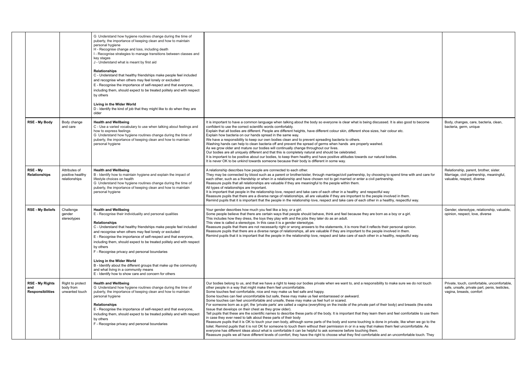|                                                          |                                                    | G Understand how hygiene routines change during the time of<br>puberty, the importance of keeping clean and how to maintain<br>personal hygiene<br>H - Recognise change and loss, including death<br>I - Recognise strategies to manage transitions between classes and<br>key stages<br>J - Understand what is meant by first aid<br><b>Relationships</b><br>C - Understand that healthy friendships make people feel included<br>and recognise when others may feel lonely or excluded<br>E - Recognise the importance of self-respect and that everyone,<br>including them, should expect to be treated politely and with respect<br>by others          |                                                                                                                                                                                                                                                                                                                                                                                                                                                                                                                                                                                                                                                                                                                                                                                                                                                                                                                                                                                                                                                                                                                                                                                                                                                                                                                                                                                                                                                                                                                                 |
|----------------------------------------------------------|----------------------------------------------------|------------------------------------------------------------------------------------------------------------------------------------------------------------------------------------------------------------------------------------------------------------------------------------------------------------------------------------------------------------------------------------------------------------------------------------------------------------------------------------------------------------------------------------------------------------------------------------------------------------------------------------------------------------|---------------------------------------------------------------------------------------------------------------------------------------------------------------------------------------------------------------------------------------------------------------------------------------------------------------------------------------------------------------------------------------------------------------------------------------------------------------------------------------------------------------------------------------------------------------------------------------------------------------------------------------------------------------------------------------------------------------------------------------------------------------------------------------------------------------------------------------------------------------------------------------------------------------------------------------------------------------------------------------------------------------------------------------------------------------------------------------------------------------------------------------------------------------------------------------------------------------------------------------------------------------------------------------------------------------------------------------------------------------------------------------------------------------------------------------------------------------------------------------------------------------------------------|
|                                                          |                                                    | Living in the Wider World<br>D - Identify the kind of job that they might like to do when they are<br>older                                                                                                                                                                                                                                                                                                                                                                                                                                                                                                                                                |                                                                                                                                                                                                                                                                                                                                                                                                                                                                                                                                                                                                                                                                                                                                                                                                                                                                                                                                                                                                                                                                                                                                                                                                                                                                                                                                                                                                                                                                                                                                 |
| <b>RSE - My Body</b>                                     | Body change<br>and care                            | <b>Health and Wellbeing</b><br>C - Use a varied vocabulary to use when talking about feelings and<br>how to express feelings<br>G Understand how hygiene routines change during the time of<br>puberty, the importance of keeping clean and how to maintain<br>personal hygiene                                                                                                                                                                                                                                                                                                                                                                            | It is important to have a common language when talking about the body so everyone is clear what is being discussed. It is also good to become<br>confident to use the correct scientific words comfortably.<br>Explain that all bodies are different. People are different heights, have different colour skin, different shoe sizes, hair colour etc.<br>Explain how bacteria on our hands spread in the same way.<br>We have a responsibility to keep our own bodies clean and to prevent spreading bacteria to others.<br>Washing hands can help to clean bacteria off and prevent the spread of germs when hands are properly washed.<br>As we grow older and mature our bodies will continually change throughout our lives.<br>Our bodies are all uniquely different and that this is completely natural and should be celebrated.<br>It is important to be positive about our bodies, to keep them healthy and have positive attitudes towards our natural bodies.<br>It is never OK to be unkind towards someone because their body is different in some way.                                                                                                                                                                                                                                                                                                                                                                                                                                                           |
| RSE - My<br>Relationships                                | Attributes of<br>positive healthy<br>relationships | <b>Health and Wellbeing</b><br>B - Identify how to maintain hygiene and explain the impact of<br>lifestyle choices on health<br>G Understand how hygiene routines change during the time of<br>puberty, the importance of keeping clean and how to maintain<br>personal hygiene                                                                                                                                                                                                                                                                                                                                                                            | A relationship describes how people are connected to each other.<br>They may be connected by blood such as a parent or brother/sister, through marriage/civil partnership, by choosing to spend time with and care for<br>each other, such as a friendship or when in a relationship and have chosen not to get married or enter a civil partnership.<br>Reassure pupils that all relationships are valuable if they are meaningful to the people within them.<br>All types of relationships are important.<br>It is important that people in the relationship love, respect and take care of each other in a healthy and respectful way<br>Reassure pupils that there are a diverse range of relationships, all are valuable if they are important to the people involved in them.<br>Remind pupils that it is important that the people in the relationship love, respect and take care of each other in a healthy, respectful way.                                                                                                                                                                                                                                                                                                                                                                                                                                                                                                                                                                                           |
| <b>RSE - My Beliefs</b>                                  | Challenge<br>gender<br>stereotypes                 | <b>Health and Wellbeing</b><br>E - Recognise their individuality and personal qualities<br><b>Relationships</b><br>C - Understand that healthy friendships make people feel included<br>and recognise when others may feel lonely or excluded<br>E - Recognise the importance of self-respect and that everyone,<br>including them, should expect to be treated politely and with respect<br>by others<br>F - Recognise privacy and personal boundaries<br>Living in the Wider World<br>B - Identify about the different groups that make up the community<br>and what living in a community means<br>E - Identify how to show care and concern for others | Your gender describes how much you feel like a boy, or a girl.<br>Some people believe that there are certain ways that people should behave, think and feel because they are born as a boy or a girl.<br>This includes how they dress, the toys they play with and the jobs they later do as an adult.<br>This view is called a stereotype. In this case it is a gender stereotype.<br>Reassure pupils that there are not necessarily right or wrong answers to the statements, it is more that it reflects their personal opinion.<br>Reassure pupils that there are a diverse range of relationships, all are valuable if they are important to the people involved in them.<br>Remind pupils that it is important that the people in the relationship love, respect and take care of each other in a healthy, respectful way.                                                                                                                                                                                                                                                                                                                                                                                                                                                                                                                                                                                                                                                                                                |
| <b>RSE - My Rights</b><br>and<br><b>Responsibilities</b> | Right to protect<br>body from<br>unwanted touch    | <b>Health and Wellbeing</b><br>G Understand how hygiene routines change during the time of<br>puberty, the importance of keeping clean and how to maintain<br>personal hygiene<br><b>Relationships</b><br>E - Recognise the importance of self-respect and that everyone,<br>including them, should expect to be treated politely and with respect<br>by others<br>F - Recognise privacy and personal boundaries                                                                                                                                                                                                                                           | Our bodies belong to us, and that we have a right to keep our bodies private when we want to, and a responsibility to make sure we do not touch<br>other people in a way that might make them feel uncomfortable.<br>Some touches feel comfortable, nice and may make us feel safe and happy.<br>Some touches can feel uncomfortable but safe, these may make us feel embarrassed or awkward.<br>Some touches can feel uncomfortable and unsafe, these may make us feel hurt or scared.<br>For someone born as a girl, the 'private parts' are called a vagina (everything on the inside of the private part of their body) and breasts (the extra<br>tissue that develops on their chest as they grow older).<br>Tell pupils that these are the scientific names to describe these parts of the body. It is important that they learn them and feel comfortable to use them<br>in case they ever need to talk about these parts of their body<br>Reassure pupils that it is OK to touch your own body, although some parts of the body and some touching is done in private, like when we go to the<br>toilet. Remind pupils that it is not OK for someone to touch them without their permission in or in a way that makes them feel uncomfortable. As<br>everyone has different ideas about what is comfortable it can be helpful to ask someone before touching them.<br>Reassure pupils we all have different levels of comfort, they have the right to choose what they find comfortable and an uncomfortable touch. They |

| Body, changes, care, bacteria, clean,                                                                                    |
|--------------------------------------------------------------------------------------------------------------------------|
| bacteria, germ, unique                                                                                                   |
|                                                                                                                          |
| Relationship, parent, brother, sister.<br>Marriage, civil partnership, meaningful,<br>valuable, respect, diverse         |
|                                                                                                                          |
| Gender, stereotype, relationship, valuable,<br>opinion, respect, love, diverse                                           |
|                                                                                                                          |
| Private, touch, comfortable, uncomfortable,<br>safe, unsafe, private part, penis, testicles,<br>vagina, breasts, comfort |
|                                                                                                                          |
|                                                                                                                          |
|                                                                                                                          |
|                                                                                                                          |
|                                                                                                                          |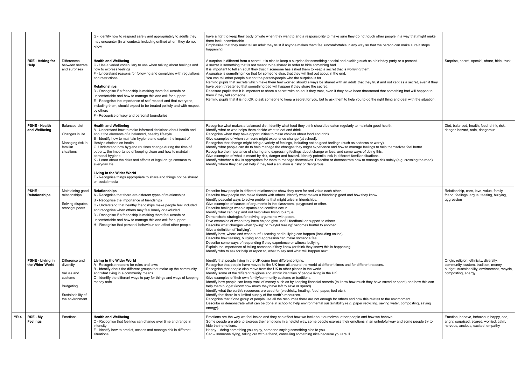|                 |                                       |                                                                                                           | G - Identify how to respond safely and appropriately to adults they<br>may encounter (in all contexts including online) whom they do not<br>know                                                                                                                                                                                                                                                                                                                                                                                                                                                                  | have a right to keep their body private when they want to and a responsibility to make sure they do not touch other people in a way that might make<br>them feel uncomfortable.<br>Emphasise that they must tell an adult they trust if anyone makes them feel uncomfortable in any way so that the person can make sure it stops<br>happening.                                                                                                                                                                                                                                                                                                                                                                                                                                                                                                                                                                                                                                                                                                                                                                                                                                                           |                                                                                                                                                        |
|-----------------|---------------------------------------|-----------------------------------------------------------------------------------------------------------|-------------------------------------------------------------------------------------------------------------------------------------------------------------------------------------------------------------------------------------------------------------------------------------------------------------------------------------------------------------------------------------------------------------------------------------------------------------------------------------------------------------------------------------------------------------------------------------------------------------------|-----------------------------------------------------------------------------------------------------------------------------------------------------------------------------------------------------------------------------------------------------------------------------------------------------------------------------------------------------------------------------------------------------------------------------------------------------------------------------------------------------------------------------------------------------------------------------------------------------------------------------------------------------------------------------------------------------------------------------------------------------------------------------------------------------------------------------------------------------------------------------------------------------------------------------------------------------------------------------------------------------------------------------------------------------------------------------------------------------------------------------------------------------------------------------------------------------------|--------------------------------------------------------------------------------------------------------------------------------------------------------|
|                 | <b>RSE - Asking for</b><br>Help       | <b>Differences</b><br>between secrets<br>and surprises                                                    | <b>Health and Wellbeing</b><br>C - Use a varied vocabulary to use when talking about feelings and<br>how to express feelings<br>F - Understand reasons for following and complying with regulations<br>and restrictions<br><b>Relationships</b><br>D - Recognise if a friendship is making them feel unsafe or<br>uncomfortable and how to manage this and ask for support<br>E - Recognise the importance of self-respect and that everyone,<br>including them, should expect to be treated politely and with respect<br>by others<br>F - Recognise privacy and personal boundaries                              | A surprise is different from a secret. It is nice to keep a surprise for something special and exciting such as a birthday party or a present.<br>A secret is something that is not meant to be shared in order to hide something bad.<br>It is important to tell an adult they trust if someone has asked them to keep a secret that is worrying them.<br>A surprise is something nice that for someone else, that they will find out about in the end.<br>You can tell other people but not the person/people who the surprise is for.<br>Remind pupils that secrets which make them feel worried should always be shared with an adult that they trust and not kept as a secret, even if they<br>have been threatened that something bad will happen if they share the secret.<br>Reassure pupils that it is important to share a secret with an adult they trust, even if they have been threatened that something bad will happen to<br>them if they tell someone.<br>Remind pupils that it is not OK to ask someone to keep a secret for you, but to ask them to help you to do the right thing and deal with the situation.                                                                        | Surprise, secret, special, share, hide, trust                                                                                                          |
|                 | <b>PSHE - Health</b><br>and Wellbeing | <b>Balanced diet</b><br>Changes in life<br>Managing risk in<br>familiar<br>situations                     | <b>Health and Wellbeing</b><br>A - Understand how to make informed decisions about health and<br>about the elements of a balanced, healthy lifestyle<br>B - Identify how to maintain hygiene and explain the impact of<br>lifestyle choices on health<br>G Understand how hygiene routines change during the time of<br>puberty, the importance of keeping clean and how to maintain<br>personal hygiene<br>K - Learn about the risks and effects of legal drugs common to<br>everyday life<br>Living in the Wider World<br>F - Recognise things appropriate to share and things not be shared<br>on social media | Recognise what makes a balanced diet. Identify what food they think should be eaten regularly to maintain good health.<br>Identify what or who helps them decide what to eat and drink.<br>Recognise when they have opportunities to make choices about food and drink.<br>Give examples of when someone might experience change (at school).<br>Recognise that change might bring a variety of feelings, including not so good feelings (such as sadness or worry).<br>Identify what people can do to help manage the changes they might experience and how to manage feelings to help themselves feel better.<br>Recognise the importance of sharing and expressing feelings about change or loss, and some ways of doing this.<br>Give examples of what is meant by risk, danger and hazard. Identify potential risk in different familiar situations.<br>Identify whether a risk is appropriate for them to manage themselves. Describe or demonstrate how to manage risk safely (e.g. crossing the road).<br>Identify where they can get help if they feel a situation is risky or dangerous.                                                                                                        | Diet, balanced, health, food, drink, risk,<br>danger, hazard, safe, dangerous                                                                          |
|                 | PSHE-<br><b>Relationships</b>         | Maintaining good<br>relationships<br>Solving disputes<br>amongst peers                                    | Relationships<br>A - Recognise that there are different types of relationships<br>B - Recognise the importance of friendships<br>C - Understand that healthy friendships make people feel included<br>and recognise when others may feel lonely or excluded<br>D - Recognise if a friendship is making them feel unsafe or<br>uncomfortable and how to manage this and ask for support<br>H - Recognise that personal behaviour can affect other people                                                                                                                                                           | Describe how people in different relationships show they care for and value each other.<br>Describe how people can make friends with others. Identify what makes a friendship good and how they know.<br>Identify peaceful ways to solve problems that might arise in friendships.<br>Give examples of causes of arguments in the classroom, playground or other.<br>Describe feelings when disputes and conflicts occur.<br>Identify what can help and not help when trying to argue.<br>Demonstrate strategies for solving arguments with peers.<br>Dive examples of when they have helped give useful feedback or support to others.<br>Describe what changes when 'joking' or 'playful teasing' becomes hurtful to another.<br>Give a definition of 'bullying'<br>Identify how, where and when hurtful teasing and bullying can happen (including online).<br>Describe how teasing, bullying and aggression can make someone feel.<br>Describe some ways of responding if they experience or witness bullying.<br>Explain the importance of telling someone if they know (or think they know) this is happening.<br>Identify who to ask for help or report to, what to say and what will happen next. | Relationship, care, love, value, family,<br>friend, feelings, argue, teasing, bullying,<br>aggression                                                  |
|                 | PSHE - Living in<br>the Wider World   | Difference and<br>diversity<br>Values and<br>customs<br>Budgeting<br>Sustainability of<br>the environment | Living in the Wider World<br>A - Recognise reasons for rules and laws<br>B - Identify about the different groups that make up the community<br>and what living in a community means<br>C - Identify the different ways to pay for things and ways of keeping<br>money safe                                                                                                                                                                                                                                                                                                                                        | Identify that people living in the UK come from different origins.<br>Recognise that people have moved to the UK from all around the world at different times and for different reasons.<br>Recognise that people also move from the UK to other places in the world.<br>Identify some of the different religious and ethnic identities of people living in the UK.<br>Give examples of their own family/community customs or traditions.<br>Identify how people can keep track of money such as by keeping financial records (to know how much they have saved or spent) and how this can<br>help them budget (know how much they have left to save or spend).<br>Identify what the earth's resources are used for (electricity, heating, food, paper, fuel etc.).<br>Identify that there is a limited supply of the earth's resources.<br>Recognise that if one group of people use all the resources there are not enough for others and how this relates to the environment.<br>Describe or demonstrate what can be done in school to help environmental sustainability (e.g. paper recycling, saving water, composting, saving<br>energy).                                                           | Origin, religion, ethnicity, diversity,<br>community, custom, tradition, money,<br>budget, sustainability, environment, recycle,<br>composting, energy |
| YR <sub>4</sub> | RSE - My<br>Feelings                  | Emotions                                                                                                  | <b>Health and Wellbeing</b><br>C - Recognise that feelings can change over time and range in<br>intensity<br>F - Identify how to predict, assess and manage risk in different<br>situations                                                                                                                                                                                                                                                                                                                                                                                                                       | Emotions are the way we feel inside and they can affect how we feel about ourselves, other people and how we behave.<br>Some people are able to express their emotions in a helpful way, some people express their emotions in an unhelpful way and some people try to<br>hide their emotions.<br>Happy – doing something you enjoy, someone saying something nice to you<br>Sad - someone dying, falling out with a friend, cancelling something nice because you are ill                                                                                                                                                                                                                                                                                                                                                                                                                                                                                                                                                                                                                                                                                                                                | Emotion, behave, behaviour, happy, sad,<br>angry, surprised, scared, worried, calm,<br>nervous, anxious, excited, empathy                              |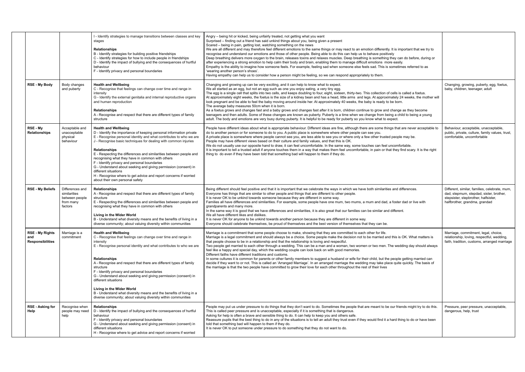|  |                                                          |                                                                           | I - Identify strategies to manage transitions between classes and key<br>stages<br><b>Relationships</b><br>B - Identify strategies for building positive friendships<br>C - Identify strategies for how to include people in friendships<br>D - Identify the impact of bullying and the consequences of hurtful<br>behaviour<br>F - Identify privacy and personal boundaries                                                                                                                                                                                                                                                                    | Angry – being hit or kicked, being unfairly treated, not getting what you want<br>Surprised - finding out a friend has said unkind things about you, being given a present<br>Scared – being in pain, getting lost, watching something on the news<br>We are all different and may therefore feel different emotions to the same things or may react to an emotion differently. It is important that we try to<br>recognise and understand our emotions and those of other people. Being able to do this can help us to behave positively<br>Deep breathing delivers more oxygen to the brain, releases toxins and relaxes muscles. Deep breathing is something they can do before, during or<br>after experiencing a strong emotion to help calm their body and brain, enabling them to manage difficult emotions more easily.<br>Empathy is the ability to imagine how someone feels. For example, feeling sad when someone else feels sad. This is sometimes referred to as<br>'wearing another person's shoes'.<br>Having empathy can help us to consider how a person might be feeling, so we can respond appropriately to them. |                                                                                                                                                                   |
|--|----------------------------------------------------------|---------------------------------------------------------------------------|-------------------------------------------------------------------------------------------------------------------------------------------------------------------------------------------------------------------------------------------------------------------------------------------------------------------------------------------------------------------------------------------------------------------------------------------------------------------------------------------------------------------------------------------------------------------------------------------------------------------------------------------------|---------------------------------------------------------------------------------------------------------------------------------------------------------------------------------------------------------------------------------------------------------------------------------------------------------------------------------------------------------------------------------------------------------------------------------------------------------------------------------------------------------------------------------------------------------------------------------------------------------------------------------------------------------------------------------------------------------------------------------------------------------------------------------------------------------------------------------------------------------------------------------------------------------------------------------------------------------------------------------------------------------------------------------------------------------------------------------------------------------------------------------------|-------------------------------------------------------------------------------------------------------------------------------------------------------------------|
|  | <b>RSE - My Body</b>                                     | Body changes<br>and puberty                                               | <b>Health and Wellbeing</b><br>C - Recognise that feelings can change over time and range in<br>intensity<br>G - Identify the external genitalia and internal reproductive organs<br>and human reproduction<br><b>Relationships</b><br>A - Recognise and respect that there are different types of family<br>structure                                                                                                                                                                                                                                                                                                                          | Changing and growing up can be very exciting, and it can help to know what to expect.<br>We all started as an egg, but not an egg such as one you enjoy eating, a very tiny egg.<br>The egg is a single cell that splits into two cells, and keeps doubling to four, eight, sixteen, thirty-two. This collection of cells is called a foetus.<br>At approximately eight weeks, the foetus is the size of a kidney bean and has a head, little arms and legs. At approximately 24 weeks, the mother will<br>look pregnant and be able to feel the baby moving around inside her. At approximately 40 weeks, the baby is ready to be born.<br>The average baby measures 50cm when it is born.<br>As a foetus grows and changes fast and a baby grows and changes fast after it is born, children continue to grow and change as they become<br>teenagers and then adults. Some of these changes are known as puberty. Puberty is a time when we change from being a child to being a young<br>adult. The body and emotions are very busy during puberty. It is helpful to be ready for puberty so you know what to expect.              | Changing, growing, puberty, egg, foetus,<br>baby, children, teenager, adult                                                                                       |
|  | RSE - My<br><b>Relationships</b>                         | Acceptable and<br>unacceptable<br>physical<br>behaviour                   | <b>Health and Wellbeing</b><br>D - Identify the importance of keeping personal information private<br>E - Recognise personal identity and what contributes to who we are<br>J - Recognise basic techniques for dealing with common injuries<br><b>Relationships</b><br>E - Respecting the differences and similarities between people and<br>recognising what they have in common with others<br>F - Identify privacy and personal boundaries<br>G - Understand about seeking and giving permission (consent) in<br>different situations<br>H - Recognise where to get advice and report concerns if worried<br>about their own personal safety | People have different ideas about what is appropriate behaviour. Different ideas are fine, although there are some things that are never acceptable to<br>do to another person or for someone to do to you. A public place is somewhere where other people can see you.<br>A private place is somewhere where people cannot see you, are less able to see you or where only a few other trusted people may be.<br>People may have different views based on their culture and family values, and that this is OK.<br>We do not usually use our opposite hand to draw, it can feel uncomfortable. In the same way, some touches can feel uncomfortable.<br>It is important to tell a trusted adult if anyone touches them in a way that makes them feel uncomfortable, in pain or that they find scary. It is the right<br>thing to do even if they have been told that something bad will happen to them if they do.                                                                                                                                                                                                                   | Behaviour, acceptable, unacceptable,<br>public, private, culture, family values, trust,<br>comfortable, uncomfortable                                             |
|  | <b>RSE - My Beliefs</b>                                  | Differences and<br>similarities<br>between people<br>from many<br>factors | <b>Relationships</b><br>A - Recognise and respect that there are different types of family<br>structure<br>E - Respecting the differences and similarities between people and<br>recognising what they have in common with others<br>Living in the Wider World<br>B - Understand what diversity means and the benefits of living in a<br>diverse community; about valuing diversity within communities                                                                                                                                                                                                                                          | Being different should feel positive and that it is important that we celebrate the ways in which we have both similarities and differences.<br>Everyone has things that are similar to other people and things that are different to other people.<br>It is never OK to be unkind towards someone because they are different in some way.<br>Families all have differences and similarities. For example, some people have one mum, two mums, a mum and dad, a foster dad or live with<br>grandparents and many more.<br>In the same way it is good that we have differences and similarities, it is also great that our families can be similar and different.<br>We all have different likes and dislikes.<br>It is never OK for anyone to be unkind towards another person because they are different in some way.<br>Everyone should celebrate themselves, be proud of themselves and the best version of themselves that they can be.                                                                                                                                                                                           | Different, similar, families, celebrate, mum,<br>dad, stepmum, stepdad, sister, brother,<br>stepsister, stepbrother, halfsister,<br>halfbrother, grandma, grandad |
|  | <b>RSE - My Rights</b><br>and<br><b>Responsibilities</b> | Marriage is a<br>commitment                                               | <b>Health and Wellbeing</b><br>C - Recognise that feelings can change over time and range in<br>intensity<br>E - Recognise personal identity and what contributes to who we are<br><b>Relationships</b><br>A - Recognise and respect that there are different types of family<br>structure<br>F - Identify privacy and personal boundaries<br>G - Understand about seeking and giving permission (consent) in<br>different situations<br>Living in the Wider World<br>B - Understand what diversity means and the benefits of living in a<br>diverse community; about valuing diversity within communities                                      | Marriage is a commitment that some people choose to make, showing that they are committed to each other for life.<br>Marriage is a legal commitment and should always be a choice. Some people make the decision not to be married and this is OK. What matters is<br>that people choose to be in a relationship and that the relationship is loving and respectful.<br>Two people get married to each other through a wedding. This can be a man and a woman, two women or two men. The wedding day should always<br>feel like a happy and special day, which the wedding couple can look back on with good memories.<br>Different faiths have different traditions and customs.<br>In some cultures it is common for parents or other family members to suggest a husband or wife for their child, but the people getting married can<br>decide if they want to or not. This is called an 'Arranged Marriage'. In an arranged marriage the wedding may take place quite quickly. The basis of<br>the marriage is that the two people have committed to grow their love for each other throughout the rest of their lives            | Marriage, commitment, legal, choice,<br>relationship, loving, respectful, wedding,<br>faith, tradition, customs, arranged marriage                                |
|  | <b>RSE - Asking for</b><br>Help                          | Recognise when<br>people may need<br>help                                 | Relationships<br>D - Identify the impact of bullying and the consequences of hurtful<br>behaviour<br>F - Identify privacy and personal boundaries<br>G - Understand about seeking and giving permission (consent) in<br>different situations<br>H - Recognise where to get advice and report concerns if worried                                                                                                                                                                                                                                                                                                                                | People may put us under pressure to do things that they don't want to do. Sometimes the people that are meant to be our friends might try to do this.<br>This is called peer pressure and is unacceptable, especially if it is something that is dangerous.<br>Asking for help is often a brave and sensible thing to do. It can help to keep you and others safe.<br>Reassure pupils that the best thing to do in any of the situations is to tell an adult they trust even if they would find it a hard thing to do or have been<br>told that something bad will happen to them if they do.<br>It is never OK to put someone under pressure to do something that they do not want to do.                                                                                                                                                                                                                                                                                                                                                                                                                                            | Pressure, peer pressure, unacceptable,<br>dangerous, help, trust                                                                                                  |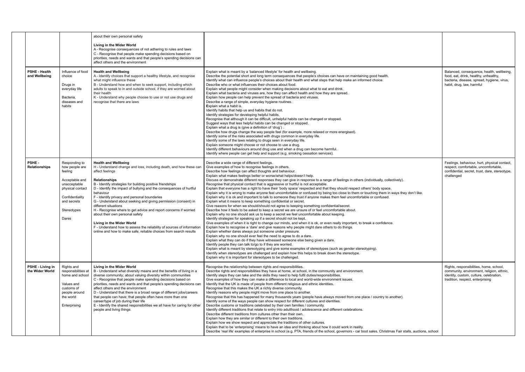|                                       |                                                                                                                                                            | about their own personal safety<br>Living in the Wider World<br>A - Recognise consequences of not adhering to rules and laws<br>C - Recognise that people make spending decisions based on<br>priorities, needs and wants and that people's spending decisions can<br>affect others and the environment                                                                                                                                                                                                                                                                                                                                                                                                              |                                                                                                                                                                                                                                                                                                                                                                                                                                                                                                                                                                                                                                                                                                                                                                                                                                                                                                                                                                                                                                                                                                                                                                                                                                                                                                                                                                                                                                                                                                                                                                                                                                                                                                                                                                                                                                                                                                                                                                                                                                                                                                                      |                                                                                                                                                                     |
|---------------------------------------|------------------------------------------------------------------------------------------------------------------------------------------------------------|----------------------------------------------------------------------------------------------------------------------------------------------------------------------------------------------------------------------------------------------------------------------------------------------------------------------------------------------------------------------------------------------------------------------------------------------------------------------------------------------------------------------------------------------------------------------------------------------------------------------------------------------------------------------------------------------------------------------|----------------------------------------------------------------------------------------------------------------------------------------------------------------------------------------------------------------------------------------------------------------------------------------------------------------------------------------------------------------------------------------------------------------------------------------------------------------------------------------------------------------------------------------------------------------------------------------------------------------------------------------------------------------------------------------------------------------------------------------------------------------------------------------------------------------------------------------------------------------------------------------------------------------------------------------------------------------------------------------------------------------------------------------------------------------------------------------------------------------------------------------------------------------------------------------------------------------------------------------------------------------------------------------------------------------------------------------------------------------------------------------------------------------------------------------------------------------------------------------------------------------------------------------------------------------------------------------------------------------------------------------------------------------------------------------------------------------------------------------------------------------------------------------------------------------------------------------------------------------------------------------------------------------------------------------------------------------------------------------------------------------------------------------------------------------------------------------------------------------------|---------------------------------------------------------------------------------------------------------------------------------------------------------------------|
| <b>PSHE - Health</b><br>and Wellbeing | Influence of food<br>choice<br>Drugs in<br>everyday life<br>Bacteria,<br>diseases and<br>habits                                                            | <b>Health and Wellbeing</b><br>A - Identify choices that support a healthy lifestyle, and recognise<br>what might influence these<br>B - Understand how and when to seek support, including which<br>adults to speak to in and outside school, if they are worried about<br>their health<br>K - Understand why people choose to use or not use drugs and<br>recognise that there are laws                                                                                                                                                                                                                                                                                                                            | Explain what is meant by a 'balanced lifestyle' for health and wellbeing.<br>Describe the potential short and long term consequences that people's choices can have on maintaining good health.<br>Identify what can influence people's choices about their health and what steps that help make an informed choice.<br>Describe who or what influences their choices about food.<br>Explain what people might consider when making decisions about what to eat and drink.<br>Explain what bacteria and viruses are, how they can affect health and how they are spread.<br>Explain how people can help prevent the spread of bacteria and viruses.<br>Describe a range of simple, everyday hygiene routines.<br>Explain what a habit is.<br>Identify habits that help us and habits that do not.<br>Identify strategies for developing helpful habits.<br>Recognise that although it can be difficult, unhelpful habits can be changed or stopped.<br>Suggest ways that less helpful habits can be changed or stopped.<br>Explain what a drug is (give a definition of 'drug').<br>Describe how drugs change the way people feel (for example, more relaxed or more energised).<br>Identify some of the risks associated with drugs common in everyday life.<br>Identify some of the laws relating to drugs seen in everyday life.<br>Explain someone might choose or not choose to use a drug.<br>Identify different behaviours around drug use and when a drug can become harmful.<br>Identify where people can get help and support (e.g. smoking cessation services).                                                                                                                                                                                                                                                                                                                                                                                                                                                                                                                                           | Balanced, consequence, health, wellbeing,<br>food, eat, drink, healthy, unhealthy,<br>bacteria, disease, spread, hygiene, virus,<br>habit, drug, law, harmful       |
| <b>PSHE-</b><br><b>Relationships</b>  | Responding to<br>how people are<br>feeling<br>Acceptable and<br>unacceptable<br>physical contact<br>Confidentiality<br>and secrets<br>Stereotypes<br>Dares | <b>Health and Wellbeing</b><br>H - Understand change and loss, including death, and how these can<br>affect feelings<br>Relationships<br>B - Identify strategies for building positive friendships<br>D - Identify the impact of bullying and the consequences of hurtful<br>behaviour<br>F - Identify privacy and personal boundaries<br>G - Understand about seeking and giving permission (consent) in<br>different situations<br>H - Recognise where to get advice and report concerns if worried<br>about their own personal safety<br>Living in the Wider World<br>F - Understand how to assess the reliability of sources of information<br>online and how to make safe, reliable choices from search results | Describe a wide range of different feelings.<br>Give examples of how to recognise feelings in others.<br>Describe how feelings can affect thoughts and behaviour.<br>Explain what makes feelings better or worse/what helps/doesn't help.<br>Discuss or demonstrate different responses they can give in response to a range of feelings in others (individually, collectively).<br>Recognise that physical contact that is aggressive or hurtful is not acceptable.<br>Explain that everyone has a right to have their 'body space' respected and that they should respect others' body space.<br>Explain why it is wrong to make anyone feel uncomfortable or confused by being too close to them or touching them in ways they don't like.<br>Explain why it is ok and important to talk to someone they trust if anyone makes them feel uncomfortable or confused<br>Explain what it means to keep something confidential or secret.<br>Give reasons for when we should/should not agree to keeping something confidential/secret.<br>Describe how it feels to be asked to keep a secret we are unsure of or feel uncomfortable about.<br>Explain why no one should ask us to keep a secret we feel uncomfortable about keeping.<br>Identify strategies for speaking up if a secret should not be kept.<br>Give examples of when it is right to change our minds, and when it is ok, or even really important, to break a confidence.<br>Explain how to recognise a 'dare' and give reasons why people might dare others to do things.<br>Explain whether dares always put someone under pressure.<br>Explain why no one should ever feel the need to agree to do a dare.<br>Explain what they can do if they have witnessed someone else being given a dare.<br>Identify people they can talk to/go to if they are worried.<br>Explain what is meant by stereotyping and give some examples of stereotypes (such as gender stereotyping).<br>Identify when stereotypes are challenged and explain how this helps to break down the stereotype.<br>Explain why it is important for stereotypes to be challenged. | Feelings, behaviour, hurt, physical contact,<br>respect, comfortable, uncomfortable,<br>confidential, secret, trust, dare, stereotype,<br>challenged                |
| PSHE - Living in<br>the Wider World   | Rights and<br>responsibilities at<br>home and school<br>Values and<br>customs of<br>people around<br>the world<br>Enterprising                             | Living in the Wider World<br>B - Understand what diversity means and the benefits of living in a<br>diverse community; about valuing diversity within communities<br>C - Recognise that people make spending decisions based on<br>priorities, needs and wants and that people's spending decisions can<br>affect others and the environment<br>D - Understand that there is a broad range of different jobs/careers<br>that people can have; that people often have more than one<br>career/type of job during their life<br>E - Identify the shared responsibilities we all have for caring for other<br>people and living things                                                                                  | Recognise the relationship between rights and responsibilities.<br>Describe rights and responsibilities they have at home, at school, in the community and environment.<br>Identify steps they can take and the skills they need to help fulfil duties/responsibilities<br>Give examples of how they can make a difference to local and world-wide environment issues.<br>Identify that the UK is made of people from different religious and ethnic identities.<br>Recognise that this makes the UK a richly diverse community.<br>Identify reasons why people might move from one place to another.<br>Recognise that this has happened for many thousands years (people have always moved from one place / country to another).<br>Identify some of the ways people can show respect for different cultures and identities.<br>Describe customs or traditions celebrated by their own families / community.<br>Identify different traditions that relate to entry into adulthood / adolescence and different celebrations.<br>Describe different traditions from cultures other than their own.<br>Explain how they are similar or different to their own traditions.<br>Explain how we show respect and appreciate the traditions of other cultures.<br>Explain that to be 'enterprising' means to have an idea and thinking about how it could work in reality.<br>Describe 'real life' examples of enterprise in school (e.g. PTA, friends of the school, governors - car boot sales, Christmas Fair stalls, auctions, school                                                                                                                                                                                                                                                                                                                                                                                                                                                                                                                                                                                  | Rights, responsibilities, home, school,<br>community, environment, religion, ethnic,<br>identity, custom, culture, celebration,<br>tradition, respect, enterprising |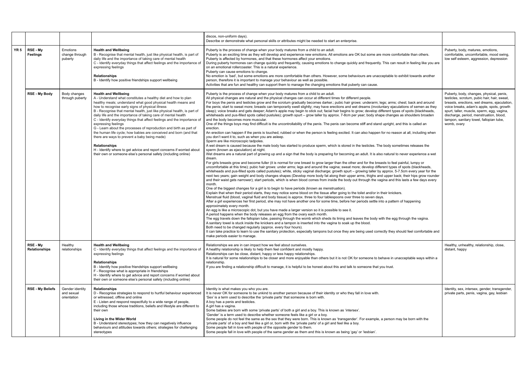|                           |                                              |                                                                                                                                                                                                                                                                                                                                                                                                                                                                                                                                                                                                                                                                                                                                                                                                                                | discos, non-uniform days).<br>Describe or demonstrate what personal skills or attributes might be needed to start an enterprise.                                                                                                                                                                                                                                                                                                                                                                                                                                                                                                                                                                                                                                                                                                                                                                                                                                                                                                                                                                                                                                                                                                                                                                                                                                                                                                                                                                                                                                                                                                                                                                                                                                                                                                                                                                                                                                                                                                                                                                                                                                                                                                                                                                                                                                                                                                                                                                                                                                                                                                                                                                                                                                                                                                                                                                                                                                                                                                                                                                                                                                                                                                                                                                                                                                                                                                                                                                                                                                                                                                                                                                               |
|---------------------------|----------------------------------------------|--------------------------------------------------------------------------------------------------------------------------------------------------------------------------------------------------------------------------------------------------------------------------------------------------------------------------------------------------------------------------------------------------------------------------------------------------------------------------------------------------------------------------------------------------------------------------------------------------------------------------------------------------------------------------------------------------------------------------------------------------------------------------------------------------------------------------------|----------------------------------------------------------------------------------------------------------------------------------------------------------------------------------------------------------------------------------------------------------------------------------------------------------------------------------------------------------------------------------------------------------------------------------------------------------------------------------------------------------------------------------------------------------------------------------------------------------------------------------------------------------------------------------------------------------------------------------------------------------------------------------------------------------------------------------------------------------------------------------------------------------------------------------------------------------------------------------------------------------------------------------------------------------------------------------------------------------------------------------------------------------------------------------------------------------------------------------------------------------------------------------------------------------------------------------------------------------------------------------------------------------------------------------------------------------------------------------------------------------------------------------------------------------------------------------------------------------------------------------------------------------------------------------------------------------------------------------------------------------------------------------------------------------------------------------------------------------------------------------------------------------------------------------------------------------------------------------------------------------------------------------------------------------------------------------------------------------------------------------------------------------------------------------------------------------------------------------------------------------------------------------------------------------------------------------------------------------------------------------------------------------------------------------------------------------------------------------------------------------------------------------------------------------------------------------------------------------------------------------------------------------------------------------------------------------------------------------------------------------------------------------------------------------------------------------------------------------------------------------------------------------------------------------------------------------------------------------------------------------------------------------------------------------------------------------------------------------------------------------------------------------------------------------------------------------------------------------------------------------------------------------------------------------------------------------------------------------------------------------------------------------------------------------------------------------------------------------------------------------------------------------------------------------------------------------------------------------------------------------------------------------------------------------------------------------------|
| RSE - My<br>Feelings      | Emotions<br>change through<br>puberty        | <b>Health and Wellbeing</b><br>B - Recognise that mental health, just like physical health, is part of<br>daily life and the importance of taking care of mental health<br>C - Identify everyday things that affect feelings and the importance of<br>expressing feelings<br><b>Relationships</b><br>B - Identify how positive friendships support wellbeing                                                                                                                                                                                                                                                                                                                                                                                                                                                                   | Puberty is the process of change when your body matures from a child to an adult.<br>Puberty is an exciting time as they will develop and experience new emotions. All emotions are OK but some are more comfortable than others.<br>Puberty is affected by hormones, and that these hormones affect your emotions.<br>During puberty hormones can change quickly and frequently, causing emotions to change quickly and frequently. This can result in feeling like you are<br>on an emotional rollercoaster. This is a natural experience.<br>Puberty can cause emotions to change.<br>No emotion is 'bad', but some emotions are more comfortable than others. However, some behaviours are unacceptable to exhibit towards another<br>person, therefore it is important to manage your behaviour as well as possible.<br>Activities that are fun and healthy can support them to manage the changing emotions that puberty can cause.                                                                                                                                                                                                                                                                                                                                                                                                                                                                                                                                                                                                                                                                                                                                                                                                                                                                                                                                                                                                                                                                                                                                                                                                                                                                                                                                                                                                                                                                                                                                                                                                                                                                                                                                                                                                                                                                                                                                                                                                                                                                                                                                                                                                                                                                                                                                                                                                                                                                                                                                                                                                                                                                                                                                                                      |
| <b>RSE - My Body</b>      | Body changes<br>through puberty              | <b>Health and Wellbeing</b><br>A - Understand what constitutes a healthy diet and how to plan<br>healthy meals; understand what good physical health means and<br>how to recognise early signs of physical illness<br>B - Recognise that mental health, just like physical health, is part of<br>daily life and the importance of taking care of mental health<br>C - Identify everyday things that affect feelings and the importance of<br>expressing feelings<br>G - Learn about the processes of reproduction and birth as part of<br>the human life cycle; how babies are conceived and born (and that<br>there are ways to prevent a baby being made)<br><b>Relationships</b><br>H - Identify where to get advice and report concerns if worried about<br>their own or someone else's personal safety (including online) | Puberty is the process of change when your body matures from a child to an adult.<br>All physical changes are natural and the physical changes can occur at different times for different people.<br>For boys the penis and testicles grow and the scrotum gradually becomes darker.; pubic hair grows: underarm; legs; arms; chest; back and around<br>the penis; start to sweat more; breasts can temporarily swell slightly; may have erections and wet dreams (involuntary ejaculations of semen as they<br>sleep); voice breaks and gets deeper; Adam's apple may begin to stick out; facial hair begins to grow; develop different types of spots (blackheads,<br>whiteheads and pus-filled spots called pustules); growth spurt - grow taller by approx. 7-8cm per year; body shape changes as shoulders broaden<br>and the body becomes more muscular.<br>One of the things boys may find difficult is the uncontrollability of the penis. The penis can become stiff and stand upright, and this is called an<br>erection.<br>An erection can happen if the penis is touched, rubbed or when the person is feeling excited. It can also happen for no reason at all, including when<br>you don't want it to, such as when you are asleep.<br>Sperm are like microscopic tadpoles.<br>A wet dream is caused because the male body has started to produce sperm, which is stored in the testicles. The body sometimes releases the<br>sperm (known as ejaculation) at night.<br>Wet dreams are a natural part of growing up and a sign that the body is preparing for becoming an adult. It is also natural to never experience a wet<br>dream.<br>For girls breasts grow and become fuller (it is normal for one breast to grow larger than the other and for the breasts to feel painful, lumpy or<br>uncomfortable at this time); pubic hair grows: under arms; legs and around the vagina; sweat more; develop different types of spots (blackheads,<br>whiteheads and pus-filled spots called pustules); white, sticky vaginal discharge; growth spurt - growing taller by approx. 5-7.5cm every year for the<br>next two years; gain weight and body changes shapes (Develop more body fat along their upper arms, thighs and upper back; their hips grow rounder<br>and their waist gets narrower); start periods, which is when blood comes from inside the body out through the vagina and this lasts a few days every<br>month.<br>One of the biggest changes for a girl is to begin to have periods (known as menstruation).<br>Explain that when their period starts, they may notice some blood on the tissue after going to the toilet and/or in their knickers.<br>Menstrual fluid (blood, vaginal fluid and body tissue) is approx. three to four tablespoons over three to seven days.<br>After a girl experiences her first period, she may not have another one for some time, before her periods settle into a pattern of happening<br>approximately every month.<br>An egg is like a microscopic dot, but you have made a larger version so it is possible to see it.<br>A period happens when the body releases an egg from the ovary each month.<br>The egg travels down the fallopian tube, passing through the womb which sheds its lining and leaves the body with the egg through the vagina.<br>A sanitary towel is stuck inside the knickers and a tampon is inserted into the vagina to soak up the blood.<br>Both need to be changed regularly (approx, every four hours).<br>It can take practice to learn to use the sanitary protection, especially tampons but once they are being used correctly they should feel comfortable and<br>make periods easier to manage. |
| RSE - My<br>Relationships | Healthy<br>relationships                     | <b>Health and Wellbeing</b><br>C - Identify everyday things that affect feelings and the importance of<br>expressing feelings<br><b>Relationships</b><br>B - Identify how positive friendships support wellbeing<br>F - Recognise what is appropriate in friendships<br>H - Identify where to get advice and report concerns if worried about<br>their own or someone else's personal safety (including online)                                                                                                                                                                                                                                                                                                                                                                                                                | Relationships we are in can impact how we feel about ourselves.<br>A healthy relationship is likely to help them feel confident and mostly happy.<br>Relationships can be close, distant, happy or less happy relationships.<br>It is natural for some relationships to be closer and more enjoyable than others but it is not OK for someone to behave in unacceptable ways within a<br>relationship.<br>If you are finding a relationship difficult to manage, it is helpful to be honest about this and talk to someone that you trust.                                                                                                                                                                                                                                                                                                                                                                                                                                                                                                                                                                                                                                                                                                                                                                                                                                                                                                                                                                                                                                                                                                                                                                                                                                                                                                                                                                                                                                                                                                                                                                                                                                                                                                                                                                                                                                                                                                                                                                                                                                                                                                                                                                                                                                                                                                                                                                                                                                                                                                                                                                                                                                                                                                                                                                                                                                                                                                                                                                                                                                                                                                                                                                     |
| <b>RSE - My Beliefs</b>   | Gender identity<br>and sexual<br>orientation | Relationships<br>D - Recognise strategies to respond to hurtful behaviour experienced<br>or witnessed, offline and online<br>E - Listen and respond respectfully to a wide range of people,<br>including those whose traditions, beliefs and lifestyle are different to<br>their own<br>Living in the Wider World<br>B - Understand stereotypes; how they can negatively influence<br>behaviours and attitudes towards others; strategies for challenging<br>stereotypes                                                                                                                                                                                                                                                                                                                                                       | Identity is what makes you who you are.<br>It is never OK for someone to be unkind to another person because of their identity or who they fall in love with.<br>'Sex' is a term used to describe the 'private parts' that someone is born with.<br>A boy has a penis and testicles.<br>A girl has a vagina.<br>Some babies are born with some 'private parts' of both a girl and a boy. This is known as 'intersex'.<br>'Gender' is a term used to describe whether someone feels like a girl or a boy.<br>Some people do not feel the same as the sex that they were born. This is known as 'transgender'. For example, a person may be born with the<br>'private parts' of a boy and feel like a girl or, born with the 'private parts' of a girl and feel like a boy.<br>Some people fall in love with people of the opposite gender to them.<br>Some people fall in love with people of the same gender as them and this is known as being 'gay' or 'lesbian'.                                                                                                                                                                                                                                                                                                                                                                                                                                                                                                                                                                                                                                                                                                                                                                                                                                                                                                                                                                                                                                                                                                                                                                                                                                                                                                                                                                                                                                                                                                                                                                                                                                                                                                                                                                                                                                                                                                                                                                                                                                                                                                                                                                                                                                                                                                                                                                                                                                                                                                                                                                                                                                                                                                                                            |

| nfortable than others.<br>result in feeling like you are<br>exhibit towards another                                                                                                                                                                                                                                                                           | Puberty, body, matures, emotions,<br>comfortable, uncomfortable, mood swing,<br>low self esteem, aggression, depression                                                                                                                                                                                                                  |
|---------------------------------------------------------------------------------------------------------------------------------------------------------------------------------------------------------------------------------------------------------------------------------------------------------------------------------------------------------------|------------------------------------------------------------------------------------------------------------------------------------------------------------------------------------------------------------------------------------------------------------------------------------------------------------------------------------------|
| chest; back and around<br>ulations of semen as they<br>es of spots (blackheads,<br>s as shoulders broaden<br>and this is called an<br>son at all, including when<br>netimes releases the<br>o never experience a wet<br>painful, lumpy or<br>of spots (blackheads,<br>-7.5cm every year for the<br>ack; their hips grow rounder<br>his lasts a few days every | Puberty, body, changes, physical, penis,<br>testicles, scrotum, pubic hair, hair, sweat,<br>breasts, erections, wet dreams, ejaculation,<br>voice breaks, adam's apple, spots, growth<br>spurt, taller, muscle, sperm, egg, vagina,<br>discharge, period, menstruation, blood,<br>tampon, sanitary towel, fallopian tube,<br>womb, ovary |
| ers.<br>n of happening                                                                                                                                                                                                                                                                                                                                        |                                                                                                                                                                                                                                                                                                                                          |
| through the vagina.<br>should feel comfortable and                                                                                                                                                                                                                                                                                                            |                                                                                                                                                                                                                                                                                                                                          |
| nacceptable ways within a                                                                                                                                                                                                                                                                                                                                     | Healthy, unhealthy, relationship, close,<br>distant, happy                                                                                                                                                                                                                                                                               |
| nay be born with the                                                                                                                                                                                                                                                                                                                                          | Identity, sex, intersex, gender, transgender,<br>private parts, penis, vagina, gay, lesbian                                                                                                                                                                                                                                              |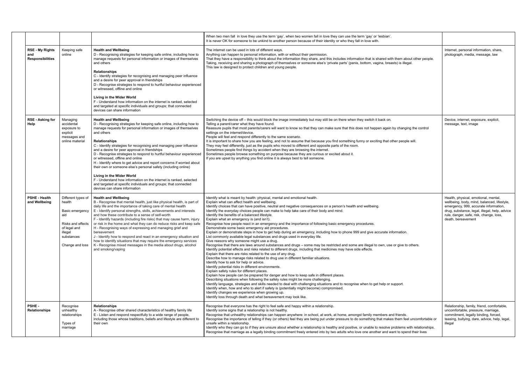|                                                          |                                                                                                                                         |                                                                                                                                                                                                                                                                                                                                                                                                                                                                                                                                                                                                                                                                                                                                                                                                     | When two men fall in love they use the term 'gay', when two women fall in love they can use the term 'gay' or 'lesbian'.<br>It is never OK for someone to be unkind to another person because of their identity or who they fall in love with.                                                                                                                                                                                                                                                                                                                                                                                                                                                                                                                                                                                                                                                                                                                                                                                                                                                                                                                                                                                                                                                                                                                                                                                                                                                                                                                                                                                                                                                                                                                                                                                                                                                                                                                             |                   |
|----------------------------------------------------------|-----------------------------------------------------------------------------------------------------------------------------------------|-----------------------------------------------------------------------------------------------------------------------------------------------------------------------------------------------------------------------------------------------------------------------------------------------------------------------------------------------------------------------------------------------------------------------------------------------------------------------------------------------------------------------------------------------------------------------------------------------------------------------------------------------------------------------------------------------------------------------------------------------------------------------------------------------------|----------------------------------------------------------------------------------------------------------------------------------------------------------------------------------------------------------------------------------------------------------------------------------------------------------------------------------------------------------------------------------------------------------------------------------------------------------------------------------------------------------------------------------------------------------------------------------------------------------------------------------------------------------------------------------------------------------------------------------------------------------------------------------------------------------------------------------------------------------------------------------------------------------------------------------------------------------------------------------------------------------------------------------------------------------------------------------------------------------------------------------------------------------------------------------------------------------------------------------------------------------------------------------------------------------------------------------------------------------------------------------------------------------------------------------------------------------------------------------------------------------------------------------------------------------------------------------------------------------------------------------------------------------------------------------------------------------------------------------------------------------------------------------------------------------------------------------------------------------------------------------------------------------------------------------------------------------------------------|-------------------|
| <b>RSE - My Rights</b><br>and<br><b>Responsibilities</b> | Keeping safe<br>online                                                                                                                  | <b>Health and Wellbeing</b><br>D - Recognising strategies for keeping safe online, including how to<br>manage requests for personal information or images of themselves<br>and others<br><b>Relationships</b><br>C - Identify strategies for recognising and managing peer influence<br>and a desire for peer approval in friendships<br>D - Recognise strategies to respond to hurtful behaviour experienced<br>or witnessed, offline and online<br>Living in the Wider World<br>F - Understand how information on the internet is ranked, selected<br>and targeted at specific individuals and groups; that connected<br>devices can share information                                                                                                                                            | The internet can be used in lots of different ways.<br>Anything can happen to personal information, with or without their permission.<br>That they have a responsibility to think about the information they share, and this includes information that is shared with them about other people.<br>Taking, receiving and sharing a photograph of themselves or someone else's 'private parts' (penis, bottom, vagina, breasts) is illegal.<br>This law is designed to protect children and young people.                                                                                                                                                                                                                                                                                                                                                                                                                                                                                                                                                                                                                                                                                                                                                                                                                                                                                                                                                                                                                                                                                                                                                                                                                                                                                                                                                                                                                                                                    | p                 |
| <b>RSE - Asking for</b><br>Help                          | Managing<br>accidental<br>exposure to<br>explicit<br>messages and<br>online material                                                    | <b>Health and Wellbeing</b><br>D - Recognising strategies for keeping safe online, including how to<br>manage requests for personal information or images of themselves<br>and others<br><b>Relationships</b><br>C - Identify strategies for recognising and managing peer influence<br>and a desire for peer approval in friendships<br>D - Recognise strategies to respond to hurtful behaviour experienced<br>or witnessed, offline and online<br>H - Identify where to get advice and report concerns if worried about<br>their own or someone else's personal safety (including online)<br>Living in the Wider World<br>F - Understand how information on the internet is ranked, selected<br>and targeted at specific individuals and groups; that connected<br>devices can share information | Switching the device off - this would block the image immediately but may still be on there when they switch it back on.<br>Telling a parent/carer what they have found.<br>Reassure pupils that most parents/carers will want to know so that they can make sure that this does not happen again by changing the control<br>settings on the internet/device.<br>People will feel and respond differently to the same scenario.<br>It is important to share how you are feeling, and not to assume that because you find something funny or exciting that other people will.<br>They may feel differently, just as the pupils who moved to different and opposite parts of the room.<br>Sometimes people find things by accident when they are browsing the internet.<br>Sometimes people browse something on purpose because they are curious or excited about it.<br>If you are upset by anything you find online it is always best to tell someone.                                                                                                                                                                                                                                                                                                                                                                                                                                                                                                                                                                                                                                                                                                                                                                                                                                                                                                                                                                                                                     | D<br>$\mathsf{r}$ |
| <b>PSHE - Health</b><br>and Wellbeing                    | Different types of<br>health<br>Basic emergency<br>aid<br>Risks and effects<br>of legal and<br>illegal<br>substances<br>Change and loss | <b>Health and Wellbeing</b><br>B - Recognise that mental health, just like physical health, is part of<br>daily life and the importance of taking care of mental health<br>E - Identify personal strengths, skills, achievements and interests<br>and how these contribute to a sense of self-worth<br>F - Identify hazards (including fire risks) that may cause harm, injury<br>or risk in the home and what they can do reduce risks and keep safe<br>H - Recognising ways of expressing and managing grief and<br>bereavement<br>J - Identify how to respond and react in an emergency situation and<br>how to identify situations that may require the emergency services<br>K - Recognise mixed messages in the media about drugs, alcohol<br>and smoking/vaping                              | Identify what is meant by health: physical, mental and emotional health.<br>Explain what can affect health and wellbeing.<br>Identify choices that can have positive, neutral and negative consequences on a person's health and wellbeing.<br>Identify the everyday choices people can make to help take care of their body and mind.<br>Identify the benefits of a balanced lifestyle.<br>Explain what an emergency is (and isn't).<br>Recognise how people react in an emergency and the importance of following basic emergency procedures.<br>Demonstrate some basic emergency aid procedures.<br>Explain or demonstrate steps in how to get help during an emergency, including how to phone 999 and give accurate information.<br>List commonly available legal substances and drugs used in everyday life.<br>Give reasons why someone might use a drug.<br>Recognise that there are laws around substances and drugs – some may be restricted and some are illegal to own, use or give to others.<br>Identify potential effects and risks related to different drugs, including that medicines may have side effects.<br>Explain that there are risks related to the use of any drug.<br>Describe how to manage risks related to drug use in different familiar situations.<br>Identify how to ask for help or advice.<br>Identify potential risks in different environments.<br>Explain safety rules for different places.<br>Explain how people can be prepared for danger and how to keep safe in different places.<br>Describing situations when following the safety rules might be more challenging.<br>Identify language, strategies and skills needed to deal with challenging situations and to recognise when to get help or support.<br>Identify when, how and who to alert if safety is (potentially might become) compromised.<br>Identify changes we experience when growing up.<br>Identify loss through death and what bereavement may look like. | e<br>rı<br>d      |
| PSHE-<br>Relationships                                   | Recognise<br>unhealthy<br>relationships<br>Types of<br>marriage                                                                         | <b>Relationships</b><br>A - Recognise other shared characteristics of healthy family life<br>E - Listen and respond respectfully to a wide range of people,<br>including those whose traditions, beliefs and lifestyle are different to<br>their own                                                                                                                                                                                                                                                                                                                                                                                                                                                                                                                                                | Recognise that everyone has the right to feel safe and happy within a relationship.<br>Identify some signs that a relationship is not healthy.<br>Recognise that unhealthy relationships can happen anywhere: in school, at work, at home, amongst family members and friends.<br>Recognise the importance of telling if they (or others) feel they are being put under pressure to do something that makes them feel uncomfortable or<br>unsafe within a relationship.<br>Identify who they can go to if they are unsure about whether a relationship is healthy and positive, or unable to resolve problems with relationships.<br>Recognise that marriage as a legally binding commitment freely entered into by two adults who love one another and want to spend their lives                                                                                                                                                                                                                                                                                                                                                                                                                                                                                                                                                                                                                                                                                                                                                                                                                                                                                                                                                                                                                                                                                                                                                                                          | R<br>C            |

| an use the term 'gay' or 'lesbian'.<br>who they fall in love with.                                                        |                                                                                                                                                                                                                                                |
|---------------------------------------------------------------------------------------------------------------------------|------------------------------------------------------------------------------------------------------------------------------------------------------------------------------------------------------------------------------------------------|
| des information that is shared with them about other people.<br>arts' (penis, bottom, vagina, breasts) is illegal.        | Internet, personal information, share,<br>photograph, media, message, law                                                                                                                                                                      |
| ere when they switch it back on.<br>that this does not happen again by changing the control                               | Device, internet, exposure, explicit,<br>message, text, image                                                                                                                                                                                  |
| omething funny or exciting that other people will.<br>of the room.                                                        |                                                                                                                                                                                                                                                |
| about it.                                                                                                                 |                                                                                                                                                                                                                                                |
|                                                                                                                           |                                                                                                                                                                                                                                                |
|                                                                                                                           |                                                                                                                                                                                                                                                |
| n's health and wellbeing.<br>Ŀ.                                                                                           | Health, physical, emotional, mental,<br>wellbeing, body, mind, balanced, lifestyle,<br>emergency, 999, accurate information,<br>drug, substance, legal, illegal, help, advice<br>rule, danger, safe, risk, change, loss,<br>death, bereavement |
| nergency procedures.<br>phone 999 and give accurate information.                                                          |                                                                                                                                                                                                                                                |
| and some are illegal to own, use or give to others.<br>ay have side effects.                                              |                                                                                                                                                                                                                                                |
| ۱S.                                                                                                                       |                                                                                                                                                                                                                                                |
| o recognise when to get help or support.<br>d.                                                                            |                                                                                                                                                                                                                                                |
| me, amongst family members and friends.<br>ssure to do something that makes them feel uncomfortable or                    | Relationship, family, friend, comfortable,<br>uncomfortable, pressure, marriage,<br>commitment, legally binding, forced,<br>teasing, bullying, dare, advice, help, legal,<br>illegal                                                           |
| nd positive, or unable to resolve problems with relationships.<br>ults who love one another and want to spend their lives |                                                                                                                                                                                                                                                |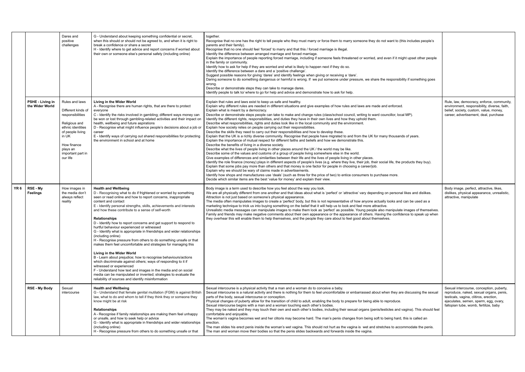|      |                                            | Dares and<br>positive<br>challenges                                                                                                                                                     | G - Understand about keeping something confidential or secret,<br>when this should or should not be agreed to, and when it is right to<br>break a confidence or share a secret<br>H - Identify where to get advice and report concerns if worried about<br>their own or someone else's personal safety (including online)                                                                                                                                                                                                                                                                                                                                                                                                                                                                                                                                                                                                                                                                                                                                                                      | together.<br>Recognise that no one has the right to tell people who they must marry or force them to marry someone they do not want to (this includes people's<br>parents and their family).<br>Recognise that no one should feel 'forced' to marry and that this / forced marriage is illegal.<br>Identify the difference between arranged marriage and forced marriage.<br>Explain the importance of people reporting forced marriage, including if someone feels threatened or worried, and even if it might upset other people<br>in the family or community.<br>Identify how to ask for help if they are worried and what is likely to happen next if they do so.<br>Identify the difference between a dare and a 'positive challenge'.<br>Suggest possible reasons for giving 'dares' and identify feelings when giving or receiving a 'dare'.<br>Daring someone to do something dangerous or harmful is wrong. If we put someone under pressure, we share the responsibility if something goes<br>wrong.<br>Describe or demonstrate steps they can take to manage dares.<br>Identify people to talk to/ where to go for help and advice and demonstrate how to ask for help.                                                                                                                                                                                                                                                                                                                                                                                                                                                                                                                                                                                                                                                                                                                                                                                                                         |
|------|--------------------------------------------|-----------------------------------------------------------------------------------------------------------------------------------------------------------------------------------------|------------------------------------------------------------------------------------------------------------------------------------------------------------------------------------------------------------------------------------------------------------------------------------------------------------------------------------------------------------------------------------------------------------------------------------------------------------------------------------------------------------------------------------------------------------------------------------------------------------------------------------------------------------------------------------------------------------------------------------------------------------------------------------------------------------------------------------------------------------------------------------------------------------------------------------------------------------------------------------------------------------------------------------------------------------------------------------------------|-------------------------------------------------------------------------------------------------------------------------------------------------------------------------------------------------------------------------------------------------------------------------------------------------------------------------------------------------------------------------------------------------------------------------------------------------------------------------------------------------------------------------------------------------------------------------------------------------------------------------------------------------------------------------------------------------------------------------------------------------------------------------------------------------------------------------------------------------------------------------------------------------------------------------------------------------------------------------------------------------------------------------------------------------------------------------------------------------------------------------------------------------------------------------------------------------------------------------------------------------------------------------------------------------------------------------------------------------------------------------------------------------------------------------------------------------------------------------------------------------------------------------------------------------------------------------------------------------------------------------------------------------------------------------------------------------------------------------------------------------------------------------------------------------------------------------------------------------------------------------------------------------------------------------------------------------------------------------------------------------------------|
|      | <b>PSHE - Living in</b><br>the Wider World | Rules and laws<br>Different kinds of<br>responsibilities<br>Religious and<br>ethnic identities<br>of people living<br>in UK<br>How finance<br>plays an<br>important part in<br>our life | Living in the Wider World<br>A - Recognise there are human rights, that are there to protect<br>everyone<br>C - Identify the risks involved in gambling; different ways money can<br>be won or lost through gambling-related activities and their impact on<br>health, wellbeing and future aspirations<br>D - Recognise what might influence people's decisions about a job or<br>career<br>E - Identify ways of carrying out shared responsibilities for protecting<br>the environment in school and at home                                                                                                                                                                                                                                                                                                                                                                                                                                                                                                                                                                                 | Explain that rules and laws exist to keep us safe and healthy.<br>Explain why different rules are needed in different situations and give examples of how rules and laws are made and enforced.<br>Explain what is meant by a democracy.<br>Describe or demonstrate steps people can take to make and change rules (class/school council, writing to ward councillor, local MP).<br>Identify the different rights, responsibilities, and duties they have in their own lives and how they uphold them.<br>Describe what responsibilities, rights and duties look like in the local community and the environment.<br>Explain how society relies on people carrying out their responsibilities.<br>Describe the skills they need to carry out their responsibilities and how to develop these.<br>Explain that the UK is a richly diverse community. Recognise that people have migrated to and from the UK for many thousands of years.<br>Explain the importance of mutual respect for different faiths and beliefs and how we demonstrate this.<br>Describe the benefits of living in a diverse society.<br>Describe what the lives of people living in other places around the UK / the world may be like.<br>Describe some of the values and customs of a group of people living somewhere else in the world.<br>Give examples of differences and similarities between their life and the lives of people living in other places.<br>Identify the role finance (money) plays in different aspects of people's lives (e.g. where they live, their job, their social life, the products they buy).<br>Explain that some jobs pay more than others and that money is one factor for people in choosing a career/job.<br>Explain why we should be wary of claims made in advertisements.<br>Identify how shops and manufactures use 'deals' (such as three for the price of two) to entice consumers to purchase more.<br>Decide which similar items are the best 'value for money' and explain their view. |
| YR 6 | RSE - My<br>Feelings                       | How images in<br>the media don't<br>always reflect<br>reality                                                                                                                           | <b>Health and Wellbeing</b><br>D - Recognising what to do if frightened or worried by something<br>seen or read online and how to report concerns, inappropriate<br>content and contact<br>E - Identify personal strengths, skills, achievements and interests<br>and how these contribute to a sense of self-worth<br><b>Relationships</b><br>D - Identify how to report concerns and get support to respond to<br>hurtful behaviour experienced or witnessed<br>G - Identify what is appropriate in friendships and wider relationships<br>(including online)<br>H - Recognise pressure from others to do something unsafe or that<br>makes them feel uncomfortable and strategies for managing this<br>Living in the Wider World<br>B - Learn about prejudice; how to recognise behaviours/actions<br>which discriminate against others; ways of responding to it if<br>witnessed or experienced<br>F - Understand how text and images in the media and on social<br>media can be manipulated or invented; strategies to evaluate the<br>reliability of sources and identify misinformation | Body image is a term used to describe how you feel about the way you look.<br>We are all physically different from one another and that ideas about what is 'perfect' or 'attractive' vary depending on personal likes and dislikes.<br>Attraction is not just based on someone's physical appearance.<br>The media often manipulates images to create a 'perfect' body, but this is not representative of how anyone actually looks and can be used as a<br>marketing technique to trick us into buying something on the belief that it will help us to look and feel more attractive.<br>Unrealistic media messages can manipulate images to make them look as 'perfect' as possible. Young people also manipulate images of themselves.<br>Family and friends may make negative comments about their own appearance or the appearance of others. Having the confidence to speak up when<br>they overhear this will enable them to help themselves, and the people they care about to feel good about themselves.                                                                                                                                                                                                                                                                                                                                                                                                                                                                                                                                                                                                                                                                                                                                                                                                                                                                                                                                                                                         |
|      | <b>RSE - My Body</b>                       | Sexual<br>intercourse                                                                                                                                                                   | <b>Health and Wellbeing</b><br>G - Understand that female genital mutilation (FGM) is against British<br>law, what to do and whom to tell if they think they or someone they<br>know might be at risk<br>Relationships<br>A - Recognise if family relationships are making them feel unhappy<br>or unsafe, and how to seek help or advice<br>G - Identify what is appropriate in friendships and wider relationships<br>(including online)<br>H - Recognise pressure from others to do something unsafe or that                                                                                                                                                                                                                                                                                                                                                                                                                                                                                                                                                                                | Sexual intercourse is a physical activity that a man and a woman do to conceive a baby.<br>Sexual intercourse is a natural activity and there is nothing for them to feel uncomfortable or embarrassed about when they are discussing the sexual<br>parts of the body, sexual intercourse or conception.<br>Physical changes of puberty allow for the transition of child to adult, enabling the body to prepare for being able to reproduce.<br>Sexual intercourse begins with a man and a woman touching each other's bodies.<br>They may be naked and they may touch their own and each other's bodies, including their sexual organs (penis/testicles and vagina). This should feel<br>comfortable and enjoyable.<br>The woman's vagina becomes wet and her clitoris may become hard. The man's penis changes from being soft to being hard, this is called an<br>erection.<br>The man slides his erect penis inside the woman's wet vagina. This should not hurt as the vagina is wet and stretches to accommodate the penis.<br>The man and woman move their bodies so that the penis slides backwards and forwards inside the vagina.                                                                                                                                                                                                                                                                                                                                                                                                                                                                                                                                                                                                                                                                                                                                                                                                                                                                |

| o (this includes people's                                                                                   |                                                                                                                                                                              |
|-------------------------------------------------------------------------------------------------------------|------------------------------------------------------------------------------------------------------------------------------------------------------------------------------|
| might upset other people                                                                                    |                                                                                                                                                                              |
| sibility if something goes                                                                                  |                                                                                                                                                                              |
| ced.<br>local MP).                                                                                          | Rule, law, democracy, enforce, community,<br>environment, responsibility, diverse, faith,<br>belief, society, custom, value, money,<br>career, advertisement, deal, purchase |
| ands of years.                                                                                              |                                                                                                                                                                              |
| he products they buy).                                                                                      |                                                                                                                                                                              |
|                                                                                                             |                                                                                                                                                                              |
| onal likes and dislikes.<br>and can be used as a<br>late images of themselves.<br>nfidence to speak up when | Body image, perfect, attractive, likes,<br>dislikes, physical appearance, unrealistic,<br>attractive, manipulate                                                             |
| are discussing the sexual<br>ce.                                                                            | Sexual intercourse, conception, puberty,<br>reproduce, naked, sexual organs, penis,<br>testicals, vagina, clitiros, erection,                                                |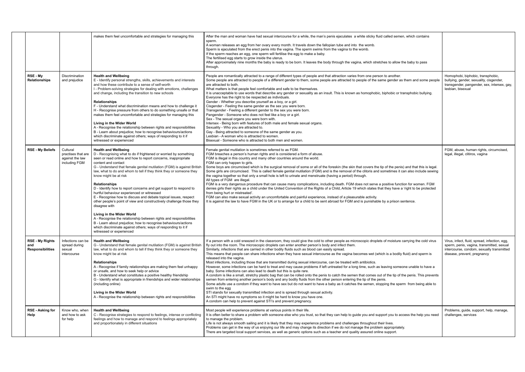|                                                          |                                                                    | makes them feel uncomfortable and strategies for managing this                                                                                                                                                                                                                                                                                                                                                                                                                                                                                                                                                                                                                                                                                                                                                                                                                                                                              | After the man and woman have had sexual intercourse for a while, the man's penis ejaculates a white sticky fluid called semen, which contains<br>sperm.<br>A woman releases an egg from her ovary every month. It travels down the fallopian tube and into the womb.<br>Sperm is ejaculated from the erect penis into the vagina. The sperm swims from the vagina to the womb.<br>If the sperm reaches an egg, one sperm will fertilise the egg to make a baby.<br>The fertilised egg starts to grow inside the uterus.<br>After approximately nine months the baby is ready to be born. It leaves the body through the vagina, which stretches to allow the baby to pass<br>through.                                                                                                                                                                                                                                                                                                                                                                                                                                                                                                                                                                                                                                                                                                                                                                                                                                                                                                           |                                                                                                                                                                        |
|----------------------------------------------------------|--------------------------------------------------------------------|---------------------------------------------------------------------------------------------------------------------------------------------------------------------------------------------------------------------------------------------------------------------------------------------------------------------------------------------------------------------------------------------------------------------------------------------------------------------------------------------------------------------------------------------------------------------------------------------------------------------------------------------------------------------------------------------------------------------------------------------------------------------------------------------------------------------------------------------------------------------------------------------------------------------------------------------|-------------------------------------------------------------------------------------------------------------------------------------------------------------------------------------------------------------------------------------------------------------------------------------------------------------------------------------------------------------------------------------------------------------------------------------------------------------------------------------------------------------------------------------------------------------------------------------------------------------------------------------------------------------------------------------------------------------------------------------------------------------------------------------------------------------------------------------------------------------------------------------------------------------------------------------------------------------------------------------------------------------------------------------------------------------------------------------------------------------------------------------------------------------------------------------------------------------------------------------------------------------------------------------------------------------------------------------------------------------------------------------------------------------------------------------------------------------------------------------------------------------------------------------------------------------------------------------------------|------------------------------------------------------------------------------------------------------------------------------------------------------------------------|
| RSE - My<br><b>Relationships</b>                         | Discrimination<br>and prejudice                                    | <b>Health and Wellbeing</b><br>E - Identify personal strengths, skills, achievements and interests<br>and how these contribute to a sense of self-worth<br>I - Problem-solving strategies for dealing with emotions, challenges<br>and change, including the transition to new schools<br><b>Relationships</b><br>F - Understand what discrimination means and how to challenge it<br>H - Recognise pressure from others to do something unsafe or that<br>makes them feel uncomfortable and strategies for managing this<br>Living in the Wider World<br>A - Recognise the relationship between rights and responsibilities<br>B - Learn about prejudice; how to recognise behaviours/actions<br>which discriminate against others; ways of responding to it if<br>witnessed or experienced                                                                                                                                                | People are romantically attracted to a range of different types of people and that attraction varies from one person to another.<br>Some people are attracted to people of a different gender to them, some people are attracted to people of the same gender as them and some people<br>are attracted to both.<br>What matters is that people feel comfortable and safe to be themselves.<br>It is unacceptable to use words that describe any gender or sexuality as an insult. This is known as homophobic, biphobic or transphobic bullying.<br>Everyone has the right to be respected as individuals.<br>Gender - Whether you describe yourself as a boy, or a girl.<br>Cisgender - Feeling the same gender as the sex you were born.<br>Transgender - Feeling a different gender to the sex you were born.<br>Pangender - Someone who does not feel like a boy or a girl.<br>Sex - The sexual organs you were born with.<br>Intersex - Being born with features of both male and female sexual organs.<br>Sexuality - Who you are attracted to.<br>Gay - Being attracted to someone of the same gender as you.<br>Lesbian - A woman who is attracted to women.<br>Bisexual - Someone who is attracted to both men and women.                                                                                                                                                                                                                                                                                                                                                              | Homophobi, biphobic, transphobic,<br>bullying, gender, sexuality, cisgender,<br>transgender, pangender, sex, intersex, gay,<br>lesbian, bisexual                       |
| <b>RSE - My Beliefs</b>                                  | Cultural<br>practises that are<br>against the law<br>including FGM | <b>Health and Wellbeing</b><br>D - Recognising what to do if frightened or worried by something<br>seen or read online and how to report concerns, inappropriate<br>content and contact<br>G - Understand that female genital mutilation (FGM) is against British<br>law, what to do and whom to tell if they think they or someone they<br>know might be at risk<br><b>Relationships</b><br>D - Identify how to report concerns and get support to respond to<br>hurtful behaviour experienced or witnessed<br>E - Recognise how to discuss and debate topical issues, respect<br>other people's point of view and constructively challenge those they<br>disagree with<br>Living in the Wider World<br>A - Recognise the relationship between rights and responsibilities<br>B - Learn about prejudice; how to recognise behaviours/actions<br>which discriminate against others; ways of responding to it if<br>witnessed or experienced | Female genital mutilation is sometimes referred to as FGM.<br>FGM breaches a person's human rights and is considered a form of abuse.<br>FGM is illegal in this country and many other countries around the world.<br>FGM can only happen to girls.<br>Some boys are circumcised which is the surgical removal of some or all of the foreskin (the skin that covers the tip of the penis) and that this is legal.<br>Some girls are circumcised. This is called female genital mutilation (FGM) and is the removal of the clitoris and sometimes it can also include sewing<br>the vagina together so that only a small hole is left to urinate and menstruate (having a period) through.<br>All types of FGM are illegal.<br>FGM is a very dangerous procedure that can cause many complications, including death. FGM does not serve a positive function for women. FGM<br>denies girls their rights as a child under the United Convention of the Rights of a Child, Article 19 which states that they have a 'right to be protected<br>from being hurt or mistreated'.<br>FGM can also make sexual activity an uncomfortable and painful experience, instead of a pleasurable activity.<br>It is against the law to have FGM in the UK or to arrange for a child to be sent abroad for FGM and is punishable by a prison sentence.                                                                                                                                                                                                                                                          | FGM, abuse, human rights, circumcised,<br>legal, illegal, clitiros, vagina                                                                                             |
| <b>RSE - My Rights</b><br>and<br><b>Responsibilities</b> | Infections can be<br>spread during<br>sexual<br>intercourse        | <b>Health and Wellbeing</b><br>G - Understand that female genital mutilation (FGM) is against British<br>law, what to do and whom to tell if they think they or someone they<br>know might be at risk<br><b>Relationships</b><br>A - Recognise if family relationships are making them feel unhappy<br>or unsafe, and how to seek help or advice<br>B - Understand what constitutes a positive healthy friendship<br>G - Identify what is appropriate in friendships and wider relationships<br>(including online)<br>Living in the Wider World<br>A - Recognise the relationship between rights and responsibilities                                                                                                                                                                                                                                                                                                                       | If a person with a cold sneezed in the classroom, they could give the cold to other people as microscopic droplets of moisture carrying the cold virus<br>fly out into the room. The microscopic droplets can enter another person's body and infect them.<br>Similarly, infections that are carried in other bodily fluids such as blood can easily spread.<br>This means that people can share infections when they have sexual intercourse as the vagina becomes wet (which is a bodily fluid) and sperm is<br>released into the vagina.<br>Most infections, including those that are transmitted during sexual intercourse, can be treated with antibiotics.<br>However, some infections can be hard to treat and may cause problems if left untreated for a long time, such as leaving someone unable to have a<br>baby. Some infections can also lead to death but this is quite rare.<br>A condom is like a small, stretchy plastic bag that can be rolled onto the penis to catch the semen that comes out of the tip of the penis. This prevents<br>semen from entering another person's body and any bodily fluids from the other person entering the tip of the penis.<br>Some adults use a condom if they want to have sex but do not want to have a baby as it catches the semen, stopping the sperm from being able to<br>swim to the egg<br>STI stands for sexually transmitted infection and is spread through sexual activity.<br>An STI might have no symptoms so it might be hard to know you have one.<br>A condom can help to prevent against STI's and prevent pregnancy. | Virus, infect, fluid, spread, infection, egg,<br>sperm, penis, vagina, transmitted, sexual<br>intercourse, condom, sexually transmitted<br>disease, prevent, pregnancy |
| <b>RSE - Asking for</b><br>Help                          | Know who, when<br>and how to ask<br>for help                       | <b>Health and Wellbeing</b><br>C - Recognise strategies to respond to feelings, intense or conflicting<br>feelings and how to manage and respond to feelings appropriately<br>and proportionately in different situations                                                                                                                                                                                                                                                                                                                                                                                                                                                                                                                                                                                                                                                                                                                   | Most people will experience problems at various points in their life.<br>It is often better to share a problem with someone else who you trust, so that they can help to guide you and support you to access the help you need<br>to manage the problem.<br>Life is not always smooth sailing and it is likely that they may experience problems and challenges throughout their lives.<br>Problems can get in the way of us enjoying our life and may change its direction if we do not manage the problem appropriately.<br>There are targeted local support services, as well as generic options such as a teacher and quality assured online support.                                                                                                                                                                                                                                                                                                                                                                                                                                                                                                                                                                                                                                                                                                                                                                                                                                                                                                                                       | Problems, guide, support, help, manage,<br>challenges, services                                                                                                        |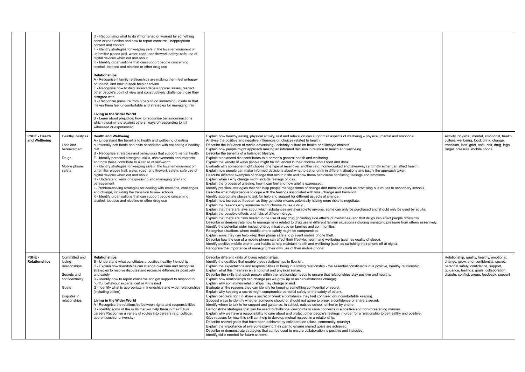|              |                                       |                                                                                                                     | D - Recognising what to do if frightened or worried by something<br>seen or read online and how to report concerns, inappropriate<br>content and contact<br>F - Identify strategies for keeping safe in the local environment or<br>unfamiliar places (rail, water, road) and firework safety; safe use of<br>digital devices when out and about<br>K - Identify organisations that can support people concerning<br>alcohol, tobacco and nicotine or other drug use<br><b>Relationships</b><br>A - Recognise if family relationships are making them feel unhappy<br>or unsafe, and how to seek help or advice<br>E - Recognise how to discuss and debate topical issues, respect<br>other people's point of view and constructively challenge those they<br>disagree with<br>H - Recognise pressure from others to do something unsafe or that<br>makes them feel uncomfortable and strategies for managing this<br>Living in the Wider World<br>B - Learn about prejudice; how to recognise behaviours/actions<br>which discriminate against others; ways of responding to it if<br>witnessed or experienced |                                                                                                                                                                                                                                                                                                                                                                                                                                                                                                                                                                                                                                                                                                                                                                                                                                                                                                                                                                                                                                                                                                                                                                                                                                                                                                                                                                                                                                                                                                                                                                                                                                                                                                                                                                                                                                                                                                                                                                                                                                                                                                                                                                                                                                                                                                                                                                                                                                                                                                                                                                                                                                                                                                                                                                                                                                                            |                                                                                                                                                                                                               |
|--------------|---------------------------------------|---------------------------------------------------------------------------------------------------------------------|-----------------------------------------------------------------------------------------------------------------------------------------------------------------------------------------------------------------------------------------------------------------------------------------------------------------------------------------------------------------------------------------------------------------------------------------------------------------------------------------------------------------------------------------------------------------------------------------------------------------------------------------------------------------------------------------------------------------------------------------------------------------------------------------------------------------------------------------------------------------------------------------------------------------------------------------------------------------------------------------------------------------------------------------------------------------------------------------------------------------|------------------------------------------------------------------------------------------------------------------------------------------------------------------------------------------------------------------------------------------------------------------------------------------------------------------------------------------------------------------------------------------------------------------------------------------------------------------------------------------------------------------------------------------------------------------------------------------------------------------------------------------------------------------------------------------------------------------------------------------------------------------------------------------------------------------------------------------------------------------------------------------------------------------------------------------------------------------------------------------------------------------------------------------------------------------------------------------------------------------------------------------------------------------------------------------------------------------------------------------------------------------------------------------------------------------------------------------------------------------------------------------------------------------------------------------------------------------------------------------------------------------------------------------------------------------------------------------------------------------------------------------------------------------------------------------------------------------------------------------------------------------------------------------------------------------------------------------------------------------------------------------------------------------------------------------------------------------------------------------------------------------------------------------------------------------------------------------------------------------------------------------------------------------------------------------------------------------------------------------------------------------------------------------------------------------------------------------------------------------------------------------------------------------------------------------------------------------------------------------------------------------------------------------------------------------------------------------------------------------------------------------------------------------------------------------------------------------------------------------------------------------------------------------------------------------------------------------------------------|---------------------------------------------------------------------------------------------------------------------------------------------------------------------------------------------------------------|
|              | <b>PSHE - Health</b><br>and Wellbeing | Healthy lifestyles<br>Loss and<br>bereavement<br>Drugs<br>Mobile phone<br>safety                                    | <b>Health and Wellbeing</b><br>A - Understand the benefits to health and wellbeing of eating<br>nutritionally rich foods and risks associated with not eating a healthy<br>diet<br>B - Recognise strategies and behaviours that support mental health<br>E - Identify personal strengths, skills, achievements and interests<br>and how these contribute to a sense of self-worth<br>F - Identify strategies for keeping safe in the local environment or<br>unfamiliar places (rail, water, road) and firework safety; safe use of<br>digital devices when out and about<br>H - Understand ways of expressing and managing grief and<br>bereavement<br>I - Problem-solving strategies for dealing with emotions, challenges<br>and change, including the transition to new schools<br>K - Identify organisations that can support people concerning<br>alcohol, tobacco and nicotine or other drug use                                                                                                                                                                                                         | Explain how healthy eating, physical activity, rest and relaxation can support all aspects of wellbeing - physical, mental and emotional<br>Analyse the positive and negative influences on choices related to health.<br>Describe the influence of media advertising / celebrity culture on health and lifestyle choices.<br>Explain how people might approach making an informed decision in relation to health and wellbeing.<br>Describe the benefits of a balanced lifestyle.<br>Explain a balanced diet contributes to a person's general health and wellbeing.<br>Explain the variety of ways people might be influenced in their choices about food and drink.<br>Evaluate why someone might choose one type of meal over another (e.g. home-cooked and takeaway) and how either can affect health.<br>Explain how people can make informed decisions about what to eat or drink in different situations and justify the approach taken.<br>Describe different examples of change that occur in life and how these can cause conflicting feelings and emotions.<br>Explain when / why change might include feelings of loss.<br>Explain the process of grieving, how it can feel and how grief is expressed.<br>Identify practical strategies that can help people manage times of change and transition (such as practising bus routes to secondary school).<br>Describe what helps people to cope with the feelings associated with loss, change and transition.<br>Identify appropriate places to ask for help and support for different aspects of change.<br>Explain how increased freedom as they get older means potentially having more risks to negotiate.<br>Explain the reasons why someone might choose to use a drug.<br>Explain that there are laws about which substances are available to anyone, some can only be purchased and should only be used by adults.<br>Explain the possible effects and risks of different drugs.<br>Explain that there are risks related to the use of any drug (including side effects of medicines) and that drugs can affect people differently.<br>Describe or demonstrate how to manage risks related to drug use in different familiar situations including managing pressure from others assertively.<br>Identify the potential wider impact of drug misuse use on families and communities.<br>Recognise situations where mobile phone safety might be compromised.<br>Explain ways they can help keep their phone safe and prevent mobile phone theft.<br>Describe how the use of a mobile phone can affect their lifestyle, health and wellbeing (such as quality of sleep).<br>Identify positive mobile phone user habits to help maintain health and wellbeing (such as switching their phone off at night).<br>Recognise the importance of managing their own use of their mobile phone. | Activity, physical, mental, emotional,<br>culture, wellbeing, food, drink, chang<br>transition, loss, grief, safe, risk, drug,<br>illegal, pressure, mobile phone                                             |
| <b>PSHE-</b> | <b>Relationships</b>                  | Committed and<br>loving<br>relationships<br>Secrets and<br>confidentiality<br>Goals<br>Disputes in<br>relationships | Relationships<br>B - Understand what constitutes a positive healthy friendship<br>C - Explain how friendships can change over time and recognise<br>strategies to resolve disputes and reconcile differences positively<br>and safely<br>D - Identify how to report concerns and get support to respond to<br>hurtful behaviour experienced or witnessed<br>G - Identify what is appropriate in friendships and wider relationships<br>(including online)<br>Living in the Wider World<br>A - Recognise the relationship between rights and responsibilities<br>D - Identify some of the skills that will help them in their future<br>careers Recognise a variety of routes into careers (e.g. college,<br>apprenticeship, university)                                                                                                                                                                                                                                                                                                                                                                         | Describe different kinds of loving relationships.<br>Identify the qualities that enable these relationships to flourish.<br>Explain the expectations and responsibilities of being in a loving relationship - the essential constituents of a positive, healthy relationship.<br>Explain what this means in an emotional and physical sense.<br>Describe the skills that each person within the relationship needs to ensure that relationships stay positive and healthy.<br>Explain how relationships can change (as we grow up or as circumstances change).<br>Explain why sometimes relationships may change or end.<br>Evaluate all the reasons they can identify for keeping something confidential or secret.<br>Explain why keeping a secret might compromise personal safety or the safety of others.<br>Explain people's right to share a secret or break a confidence they feel confused or uncomfortable keeping.<br>Suggest ways to identify whether someone should or should not agree to break a confidence or share a secret.<br>Identify whom to talk to for support and guidance, in school, outside school, online or by phone.<br>Demonstrate strategies that can be used to challenge viewpoints or raise concerns in a positive and non-threatening manner.<br>Explain why we have a responsibility to care about and protect other people's feelings in order for a relationship to be healthy and positive.<br>Give reasons for how this skill can help to develop mutual respect in a relationship.<br>Describe shared goals that have been achieved by collaboration (class, community, country).<br>Explain the importance of everyone playing their part to ensure shared goals are achieved.<br>Describe or demonstrate strategies that can be used to ensure collaboration is positive and inclusive.<br>Identify skills needed for future careers.                                                                                                                                                                                                                                                                                                                                                                                                                                                                                                                                                                                                                                                                                                                                                                                                                                                                                                                                                                          | Relationship, quality, healthy, emotion<br>change, grow, end, confidential, secr<br>personal safety, confidence, support,<br>guidance, feelings, goals, collaborati<br>dispute, conflict, argue, feedback, su |

| I emotional.                                                          | Activity, physical, mental, emotional, health,<br>culture, wellbeing, food, drink, change,<br>transition, loss, grief, safe, risk, drug, legal,<br>illegal, pressure, mobile phone                                          |
|-----------------------------------------------------------------------|-----------------------------------------------------------------------------------------------------------------------------------------------------------------------------------------------------------------------------|
| affect health.<br>taken.                                              |                                                                                                                                                                                                                             |
| econdary school).                                                     |                                                                                                                                                                                                                             |
| be used by adults.<br>ple differently.<br>re from others assertively. |                                                                                                                                                                                                                             |
|                                                                       |                                                                                                                                                                                                                             |
| hy relationship.                                                      | Relationship, quality, healthy, emotional,<br>change, grow, end, confidential, secret,<br>personal safety, confidence, support,<br>guidance, feelings, goals, collaboration,<br>dispute, conflict, argue, feedback, support |
| er.<br>hy and positive.                                               |                                                                                                                                                                                                                             |